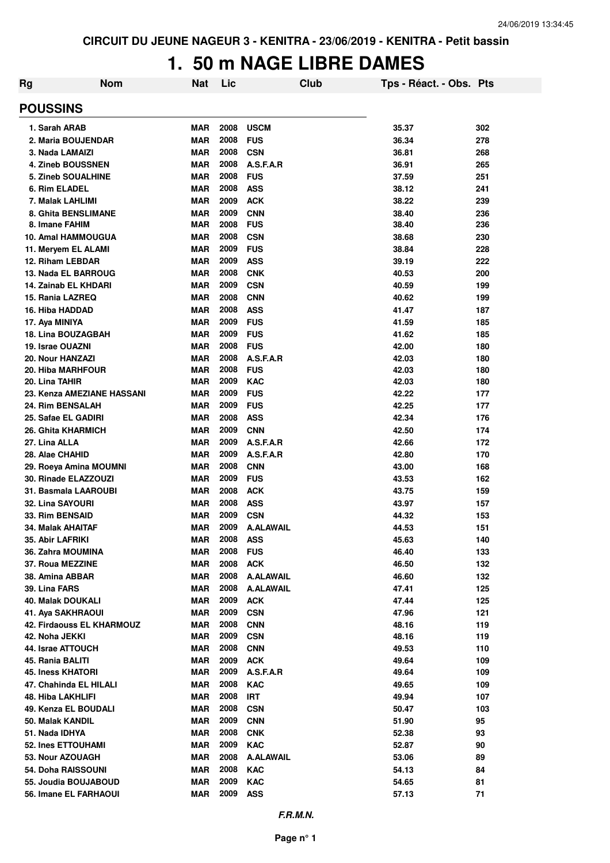## **1. 50 m NAGE LIBRE DAMES**

| Rg                         | <b>Nom</b>                       | <b>Nat</b> | Lic  | Club             | Tps - Réact. - Obs. Pts |     |
|----------------------------|----------------------------------|------------|------|------------------|-------------------------|-----|
| <b>POUSSINS</b>            |                                  |            |      |                  |                         |     |
| 1. Sarah ARAB              |                                  | <b>MAR</b> | 2008 | <b>USCM</b>      | 35.37                   | 302 |
| 2. Maria BOUJENDAR         |                                  | <b>MAR</b> | 2008 | <b>FUS</b>       | 36.34                   | 278 |
| 3. Nada LAMAIZI            |                                  | <b>MAR</b> | 2008 | <b>CSN</b>       | 36.81                   | 268 |
| 4. Zineb BOUSSNEN          |                                  | <b>MAR</b> | 2008 | A.S.F.A.R        | 36.91                   | 265 |
| 5. Zineb SOUALHINE         |                                  | <b>MAR</b> | 2008 | <b>FUS</b>       | 37.59                   | 251 |
| 6. Rim ELADEL              |                                  | <b>MAR</b> | 2008 | <b>ASS</b>       | 38.12                   | 241 |
| 7. Malak LAHLIMI           |                                  | <b>MAR</b> | 2009 | <b>ACK</b>       | 38.22                   | 239 |
| <b>8. Ghita BENSLIMANE</b> |                                  | <b>MAR</b> | 2009 | <b>CNN</b>       | 38.40                   | 236 |
| 8. Imane FAHIM             |                                  | <b>MAR</b> | 2008 | <b>FUS</b>       | 38.40                   | 236 |
| 10. Amal HAMMOUGUA         |                                  | <b>MAR</b> | 2008 | <b>CSN</b>       | 38.68                   | 230 |
| 11. Meryem EL ALAMI        |                                  | <b>MAR</b> | 2009 | <b>FUS</b>       | 38.84                   | 228 |
| 12. Riham LEBDAR           |                                  | <b>MAR</b> | 2009 | <b>ASS</b>       | 39.19                   | 222 |
| 13. Nada EL BARROUG        |                                  | <b>MAR</b> | 2008 | <b>CNK</b>       | 40.53                   | 200 |
| 14. Zainab EL KHDARI       |                                  | <b>MAR</b> | 2009 | <b>CSN</b>       | 40.59                   | 199 |
| 15. Rania LAZREQ           |                                  | <b>MAR</b> | 2008 | <b>CNN</b>       | 40.62                   | 199 |
| 16. Hiba HADDAD            |                                  | <b>MAR</b> | 2008 | <b>ASS</b>       | 41.47                   | 187 |
| 17. Aya MINIYA             |                                  | <b>MAR</b> | 2009 | <b>FUS</b>       | 41.59                   | 185 |
| <b>18. Lina BOUZAGBAH</b>  |                                  | <b>MAR</b> | 2009 | <b>FUS</b>       | 41.62                   | 185 |
| 19. Israe OUAZNI           |                                  | <b>MAR</b> | 2008 | <b>FUS</b>       | 42.00                   | 180 |
| 20. Nour HANZAZI           |                                  | <b>MAR</b> | 2008 | A.S.F.A.R        | 42.03                   | 180 |
| <b>20. Hiba MARHFOUR</b>   |                                  | <b>MAR</b> | 2008 | <b>FUS</b>       | 42.03                   | 180 |
| 20. Lina TAHIR             |                                  | <b>MAR</b> | 2009 | <b>KAC</b>       | 42.03                   | 180 |
|                            | 23. Kenza AMEZIANE HASSANI       | MAR        | 2009 | <b>FUS</b>       | 42.22                   | 177 |
| 24. Rim BENSALAH           |                                  | <b>MAR</b> | 2009 | <b>FUS</b>       | 42.25                   | 177 |
| 25. Safae EL GADIRI        |                                  | <b>MAR</b> | 2008 | <b>ASS</b>       | 42.34                   | 176 |
| <b>26. Ghita KHARMICH</b>  |                                  | <b>MAR</b> | 2009 | <b>CNN</b>       | 42.50                   | 174 |
| 27. Lina ALLA              |                                  | <b>MAR</b> | 2009 | A.S.F.A.R        | 42.66                   | 172 |
| 28. Alae CHAHID            |                                  | <b>MAR</b> | 2009 | A.S.F.A.R        | 42.80                   | 170 |
| 29. Roeya Amina MOUMNI     |                                  | <b>MAR</b> | 2008 | <b>CNN</b>       | 43.00                   | 168 |
| 30. Rinade ELAZZOUZI       |                                  | <b>MAR</b> | 2009 | <b>FUS</b>       | 43.53                   | 162 |
| 31. Basmala LAAROUBI       |                                  | <b>MAR</b> | 2008 | <b>ACK</b>       | 43.75                   | 159 |
| 32. Lina SAYOURI           |                                  | <b>MAR</b> | 2008 | <b>ASS</b>       | 43.97                   | 157 |
| 33. Rim BENSAID            |                                  | <b>MAR</b> | 2009 | <b>CSN</b>       | 44.32                   | 153 |
| 34. Malak AHAITAF          |                                  | <b>MAR</b> | 2009 | <b>A.ALAWAIL</b> | 44.53                   | 151 |
| 35. Abir LAFRIKI           |                                  | MAR        | 2008 | ASS              | 45.63                   | 140 |
| <b>36. Zahra MOUMINA</b>   |                                  | <b>MAR</b> | 2008 | <b>FUS</b>       | 46.40                   | 133 |
| 37. Roua MEZZINE           |                                  | <b>MAR</b> | 2008 | <b>ACK</b>       | 46.50                   | 132 |
| 38. Amina ABBAR            |                                  | <b>MAR</b> | 2008 | <b>A.ALAWAIL</b> | 46.60                   | 132 |
| 39. Lina FARS              |                                  | <b>MAR</b> | 2008 | <b>A.ALAWAIL</b> | 47.41                   | 125 |
| <b>40. Malak DOUKALI</b>   |                                  | <b>MAR</b> | 2009 | <b>ACK</b>       | 47.44                   | 125 |
| 41. Aya SAKHRAOUI          |                                  | <b>MAR</b> | 2009 | <b>CSN</b>       | 47.96                   | 121 |
|                            | <b>42. Firdaouss EL KHARMOUZ</b> | <b>MAR</b> | 2008 | <b>CNN</b>       | 48.16                   | 119 |
| 42. Noha JEKKI             |                                  | MAR        | 2009 | <b>CSN</b>       | 48.16                   | 119 |
| 44. Israe ATTOUCH          |                                  | <b>MAR</b> | 2008 | <b>CNN</b>       | 49.53                   | 110 |
| 45. Rania BALITI           |                                  | MAR        | 2009 | <b>ACK</b>       | 49.64                   | 109 |
| <b>45. Iness KHATORI</b>   |                                  | <b>MAR</b> | 2009 | A.S.F.A.R        | 49.64                   | 109 |
| 47. Chahinda EL HILALI     |                                  | <b>MAR</b> | 2008 | <b>KAC</b>       | 49.65                   | 109 |
| 48. Hiba LAKHLIFI          |                                  | <b>MAR</b> | 2008 | <b>IRT</b>       | 49.94                   | 107 |
| 49. Kenza EL BOUDALI       |                                  | <b>MAR</b> | 2008 | <b>CSN</b>       | 50.47                   | 103 |
| 50. Malak KANDIL           |                                  | <b>MAR</b> | 2009 | <b>CNN</b>       | 51.90                   | 95  |
| 51. Nada IDHYA             |                                  | <b>MAR</b> | 2008 | <b>CNK</b>       | 52.38                   | 93  |
| 52. Ines ETTOUHAMI         |                                  | <b>MAR</b> | 2009 | <b>KAC</b>       | 52.87                   | 90  |
|                            |                                  |            |      |                  |                         |     |
| 53. Nour AZOUAGH           |                                  | MAR        | 2008 | <b>A.ALAWAIL</b> | 53.06                   | 89  |
| 54. Doha RAISSOUNI         |                                  | MAR        | 2008 | <b>KAC</b>       | 54.13                   | 84  |
| 55. Joudia BOUJABOUD       |                                  | <b>MAR</b> | 2009 | <b>KAC</b>       | 54.65                   | 81  |
| 56. Imane EL FARHAOUI      |                                  | <b>MAR</b> | 2009 | <b>ASS</b>       | 57.13                   | 71  |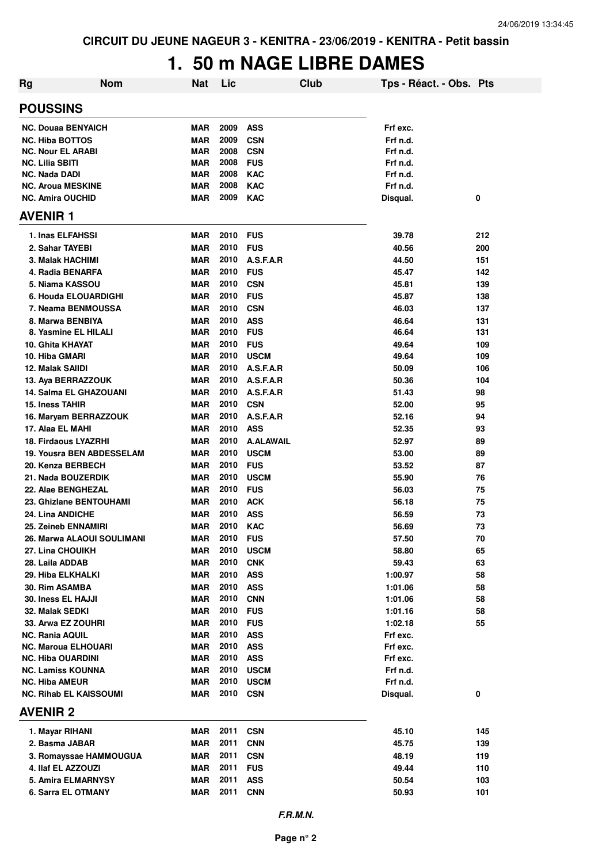# **1. 50 m NAGE LIBRE DAMES**

| <b>Rg</b>                     | <b>Nom</b> | <b>Nat</b> | Lic      |                  | Club | Tps - Réact. - Obs. Pts |     |
|-------------------------------|------------|------------|----------|------------------|------|-------------------------|-----|
| <b>POUSSINS</b>               |            |            |          |                  |      |                         |     |
| <b>NC. Douaa BENYAICH</b>     |            | <b>MAR</b> | 2009     | <b>ASS</b>       |      | Frf exc.                |     |
| <b>NC. Hiba BOTTOS</b>        |            | <b>MAR</b> | 2009     | <b>CSN</b>       |      | Frf n.d.                |     |
| <b>NC. Nour EL ARABI</b>      |            | <b>MAR</b> | 2008     | <b>CSN</b>       |      | Frf n.d.                |     |
| <b>NC. Lilia SBITI</b>        |            | MAR        | 2008     | <b>FUS</b>       |      | Frf n.d.                |     |
| <b>NC. Nada DADI</b>          |            | <b>MAR</b> | 2008     | <b>KAC</b>       |      | Frf n.d.                |     |
| <b>NC. Aroua MESKINE</b>      |            | <b>MAR</b> | 2008     | <b>KAC</b>       |      | Frf n.d.                |     |
| <b>NC. Amira OUCHID</b>       |            | <b>MAR</b> | 2009     | <b>KAC</b>       |      | Disqual.                | 0   |
| <b>AVENIR1</b>                |            |            |          |                  |      |                         |     |
| 1. Inas ELFAHSSI              |            | <b>MAR</b> | 2010     | <b>FUS</b>       |      | 39.78                   | 212 |
| 2. Sahar TAYEBI               |            | <b>MAR</b> | 2010     | <b>FUS</b>       |      | 40.56                   | 200 |
| 3. Malak HACHIMI              |            | <b>MAR</b> | 2010     | A.S.F.A.R        |      | 44.50                   | 151 |
| 4. Radia BENARFA              |            | MAR        | 2010     | <b>FUS</b>       |      | 45.47                   | 142 |
| 5. Niama KASSOU               |            | MAR        | 2010     | <b>CSN</b>       |      | 45.81                   | 139 |
| 6. Houda ELOUARDIGHI          |            | <b>MAR</b> | 2010     | <b>FUS</b>       |      | 45.87                   | 138 |
| 7. Neama BENMOUSSA            |            | <b>MAR</b> | 2010     | <b>CSN</b>       |      | 46.03                   | 137 |
| 8. Marwa BENBIYA              |            | <b>MAR</b> | 2010     | <b>ASS</b>       |      | 46.64                   | 131 |
| 8. Yasmine EL HILALI          |            | <b>MAR</b> | 2010     | <b>FUS</b>       |      | 46.64                   | 131 |
| <b>10. Ghita KHAYAT</b>       |            | <b>MAR</b> | 2010     | <b>FUS</b>       |      | 49.64                   | 109 |
| 10. Hiba GMARI                |            | <b>MAR</b> | 2010     | <b>USCM</b>      |      | 49.64                   | 109 |
| 12. Malak SAIIDI              |            | <b>MAR</b> | 2010     | A.S.F.A.R        |      | 50.09                   | 106 |
| 13. Aya BERRAZZOUK            |            | <b>MAR</b> | 2010     | A.S.F.A.R        |      | 50.36                   | 104 |
| 14. Salma EL GHAZOUANI        |            | <b>MAR</b> | 2010     | A.S.F.A.R        |      | 51.43                   | 98  |
| <b>15. Iness TAHIR</b>        |            | <b>MAR</b> | 2010     | <b>CSN</b>       |      | 52.00                   | 95  |
| 16. Maryam BERRAZZOUK         |            | <b>MAR</b> | 2010     | A.S.F.A.R        |      | 52.16                   | 94  |
| 17. Alaa EL MAHI              |            | <b>MAR</b> | 2010     | <b>ASS</b>       |      | 52.35                   | 93  |
| <b>18. Firdaous LYAZRHI</b>   |            | <b>MAR</b> | 2010     | <b>A.ALAWAIL</b> |      | 52.97                   | 89  |
| 19. Yousra BEN ABDESSELAM     |            | <b>MAR</b> | 2010     | <b>USCM</b>      |      | 53.00                   | 89  |
| 20. Kenza BERBECH             |            | <b>MAR</b> | 2010     | <b>FUS</b>       |      | 53.52                   | 87  |
| 21. Nada BOUZERDIK            |            | <b>MAR</b> | 2010     | <b>USCM</b>      |      | 55.90                   | 76  |
| 22. Alae BENGHEZAL            |            | <b>MAR</b> | 2010     | <b>FUS</b>       |      | 56.03                   | 75  |
| 23. Ghizlane BENTOUHAMI       |            | <b>MAR</b> | 2010     | <b>ACK</b>       |      | 56.18                   | 75  |
| 24. Lina ANDICHE              |            | <b>MAR</b> | 2010     | <b>ASS</b>       |      | 56.59                   | 73  |
| 25. Zeineb ENNAMIRI           |            | <b>MAR</b> | 2010     | <b>KAC</b>       |      | 56.69                   | 73  |
| 26. Marwa ALAOUI SOULIMANI    |            | <b>MAR</b> | 2010 FUS |                  |      | 57.50                   | 70  |
| 27. Lina CHOUIKH              |            | MAR        | 2010     | <b>USCM</b>      |      | 58.80                   | 65  |
| 28. Laila ADDAB               |            | MAR        | 2010     | <b>CNK</b>       |      | 59.43                   | 63  |
| 29. Hiba ELKHALKI             |            | <b>MAR</b> | 2010     | <b>ASS</b>       |      | 1:00.97                 | 58  |
| 30. Rim ASAMBA                |            | MAR        | 2010     | <b>ASS</b>       |      | 1:01.06                 | 58  |
| 30. Iness EL HAJJI            |            | <b>MAR</b> | 2010     | <b>CNN</b>       |      | 1:01.06                 | 58  |
| 32. Malak SEDKI               |            | MAR        | 2010     | <b>FUS</b>       |      | 1:01.16                 | 58  |
| 33. Arwa EZ ZOUHRI            |            | MAR        | 2010     | <b>FUS</b>       |      | 1:02.18                 | 55  |
| <b>NC. Rania AQUIL</b>        |            | MAR        | 2010     | <b>ASS</b>       |      | Frf exc.                |     |
| <b>NC. Maroua ELHOUARI</b>    |            | <b>MAR</b> | 2010     | <b>ASS</b>       |      | Frf exc.                |     |
| <b>NC. Hiba OUARDINI</b>      |            | MAR        | 2010     | <b>ASS</b>       |      | Frf exc.                |     |
| NC. Lamiss KOUNNA             |            | <b>MAR</b> | 2010     | <b>USCM</b>      |      | Frf n.d.                |     |
| <b>NC. Hiba AMEUR</b>         |            | MAR        | 2010     | <b>USCM</b>      |      | Frf n.d.                |     |
| <b>NC. Rihab EL KAISSOUMI</b> |            | MAR        | 2010     | <b>CSN</b>       |      | Disqual.                | 0   |
| <b>AVENIR 2</b>               |            |            |          |                  |      |                         |     |
| 1. Mayar RIHANI               |            | MAR        | 2011     | <b>CSN</b>       |      | 45.10                   | 145 |
| 2. Basma JABAR                |            | MAR        | 2011     | <b>CNN</b>       |      | 45.75                   | 139 |
| 3. Romayssae HAMMOUGUA        |            | MAR        | 2011     | <b>CSN</b>       |      | 48.19                   | 119 |
| 4. Ilaf EL AZZOUZI            |            | <b>MAR</b> | 2011     | <b>FUS</b>       |      | 49.44                   | 110 |
| 5. Amira ELMARNYSY            |            | MAR        | 2011     | <b>ASS</b>       |      | 50.54                   | 103 |
| 6. Sarra EL OTMANY            |            | MAR        | 2011     | <b>CNN</b>       |      | 50.93                   | 101 |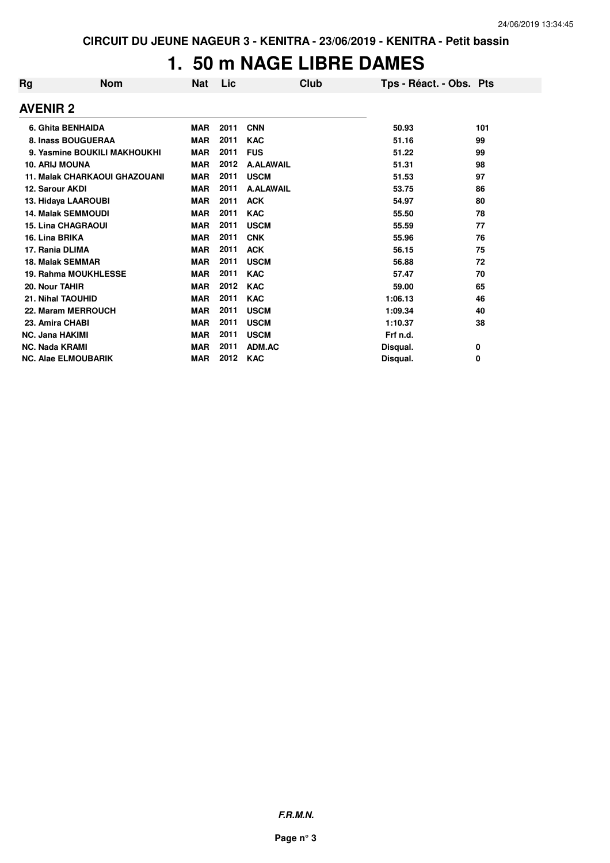# **1. 50 m NAGE LIBRE DAMES**

| Rg              | <b>Nom</b>                           | <b>Nat</b> | Lic  | Club             | Tps - Réact. - Obs. Pts |     |
|-----------------|--------------------------------------|------------|------|------------------|-------------------------|-----|
| <b>AVENIR 2</b> |                                      |            |      |                  |                         |     |
|                 | 6. Ghita BENHAIDA                    | <b>MAR</b> | 2011 | <b>CNN</b>       | 50.93                   | 101 |
|                 | 8. Inass BOUGUERAA                   | <b>MAR</b> | 2011 | <b>KAC</b>       | 51.16                   | 99  |
|                 | 9. Yasmine BOUKILI MAKHOUKHI         | <b>MAR</b> | 2011 | <b>FUS</b>       | 51.22                   | 99  |
|                 | <b>10. ARIJ MOUNA</b>                | <b>MAR</b> | 2012 | <b>A.ALAWAIL</b> | 51.31                   | 98  |
|                 | <b>11. Malak CHARKAOUI GHAZOUANI</b> | <b>MAR</b> | 2011 | <b>USCM</b>      | 51.53                   | 97  |
|                 | 12. Sarour AKDI                      | <b>MAR</b> | 2011 | <b>A.ALAWAIL</b> | 53.75                   | 86  |
|                 | 13. Hidaya LAAROUBI                  | <b>MAR</b> | 2011 | <b>ACK</b>       | 54.97                   | 80  |
|                 | <b>14. Malak SEMMOUDI</b>            | <b>MAR</b> | 2011 | <b>KAC</b>       | 55.50                   | 78  |
|                 | <b>15. Lina CHAGRAOUI</b>            | <b>MAR</b> | 2011 | <b>USCM</b>      | 55.59                   | 77  |
|                 | 16. Lina BRIKA                       | <b>MAR</b> | 2011 | <b>CNK</b>       | 55.96                   | 76  |
|                 | 17. Rania DLIMA                      | <b>MAR</b> | 2011 | <b>ACK</b>       | 56.15                   | 75  |
|                 | <b>18. Malak SEMMAR</b>              | <b>MAR</b> | 2011 | <b>USCM</b>      | 56.88                   | 72  |
|                 | 19. Rahma MOUKHLESSE                 | <b>MAR</b> | 2011 | <b>KAC</b>       | 57.47                   | 70  |
|                 | 20. Nour TAHIR                       | <b>MAR</b> | 2012 | <b>KAC</b>       | 59.00                   | 65  |
|                 | 21. Nihal TAOUHID                    | <b>MAR</b> | 2011 | <b>KAC</b>       | 1:06.13                 | 46  |
|                 | 22. Maram MERROUCH                   | <b>MAR</b> | 2011 | <b>USCM</b>      | 1:09.34                 | 40  |
|                 | 23. Amira CHABI                      | <b>MAR</b> | 2011 | <b>USCM</b>      | 1:10.37                 | 38  |
|                 | <b>NC. Jana HAKIMI</b>               | <b>MAR</b> | 2011 | <b>USCM</b>      | Frf n.d.                |     |
|                 | <b>NC. Nada KRAMI</b>                | <b>MAR</b> | 2011 | ADM.AC           | Disqual.                | 0   |
|                 | <b>NC. Alae ELMOUBARIK</b>           | <b>MAR</b> | 2012 | <b>KAC</b>       | Disqual.                | 0   |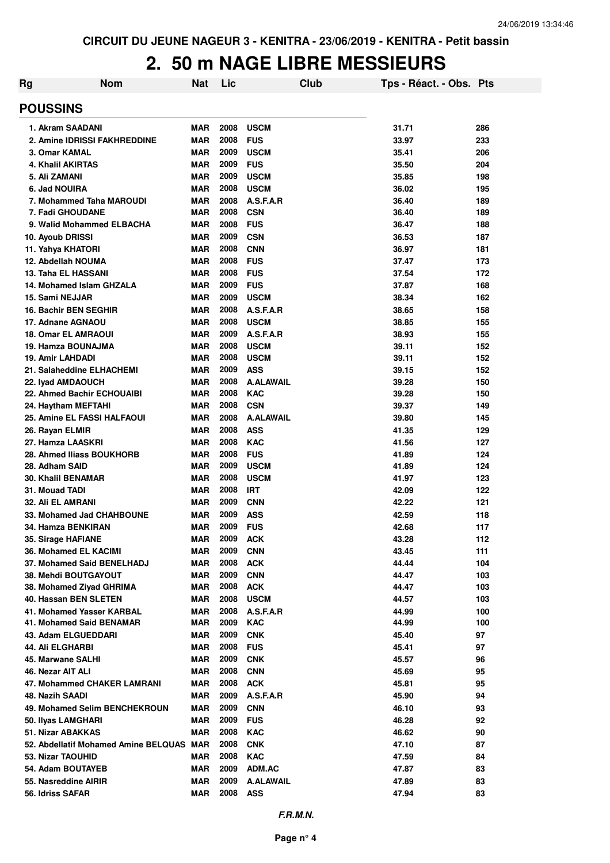### **2. 50 m NAGE LIBRE MESSIEURS**

| Rg                                                            | <b>Nom</b> | <b>Nat</b>               | Lic          |                           | Club | Tps - Réact. - Obs. Pts |            |
|---------------------------------------------------------------|------------|--------------------------|--------------|---------------------------|------|-------------------------|------------|
| <b>POUSSINS</b>                                               |            |                          |              |                           |      |                         |            |
| 1. Akram SAADANI                                              |            | <b>MAR</b>               | 2008         | <b>USCM</b>               |      | 31.71                   | 286        |
| 2. Amine IDRISSI FAKHREDDINE                                  |            | <b>MAR</b>               | 2008         | <b>FUS</b>                |      | 33.97                   | 233        |
| 3. Omar KAMAL                                                 |            | <b>MAR</b>               | 2009         | <b>USCM</b>               |      | 35.41                   | 206        |
| <b>4. Khalil AKIRTAS</b>                                      |            | <b>MAR</b>               | 2009         | <b>FUS</b>                |      | 35.50                   | 204        |
| 5. Ali ZAMANI                                                 |            | <b>MAR</b>               | 2009         | <b>USCM</b>               |      | 35.85                   | 198        |
| 6. Jad NOUIRA                                                 |            | <b>MAR</b>               | 2008         | <b>USCM</b>               |      | 36.02                   | 195        |
| 7. Mohammed Taha MAROUDI                                      |            | <b>MAR</b>               | 2008         | A.S.F.A.R                 |      | 36.40                   | 189        |
| 7. Fadi GHOUDANE                                              |            | <b>MAR</b>               | 2008         | <b>CSN</b>                |      | 36.40                   | 189        |
| 9. Walid Mohammed ELBACHA                                     |            | <b>MAR</b>               | 2008         | <b>FUS</b>                |      | 36.47                   | 188        |
| 10. Ayoub DRISSI                                              |            | <b>MAR</b>               | 2009         | <b>CSN</b>                |      | 36.53                   | 187        |
| 11. Yahya KHATORI                                             |            | <b>MAR</b>               | 2008<br>2008 | <b>CNN</b>                |      | 36.97                   | 181        |
| 12. Abdellah NOUMA<br>13. Taha EL HASSANI                     |            | <b>MAR</b><br><b>MAR</b> | 2008         | <b>FUS</b><br><b>FUS</b>  |      | 37.47                   | 173<br>172 |
| 14. Mohamed Islam GHZALA                                      |            | <b>MAR</b>               | 2009         | <b>FUS</b>                |      | 37.54<br>37.87          | 168        |
| 15. Sami NEJJAR                                               |            | <b>MAR</b>               | 2009         | <b>USCM</b>               |      | 38.34                   | 162        |
| <b>16. Bachir BEN SEGHIR</b>                                  |            | <b>MAR</b>               | 2008         | A.S.F.A.R                 |      | 38.65                   | 158        |
| 17. Adnane AGNAOU                                             |            | <b>MAR</b>               | 2008         | <b>USCM</b>               |      | 38.85                   | 155        |
| <b>18. Omar EL AMRAOUI</b>                                    |            | <b>MAR</b>               | 2009         | A.S.F.A.R                 |      | 38.93                   | 155        |
| 19. Hamza BOUNAJMA                                            |            | <b>MAR</b>               | 2008         | <b>USCM</b>               |      | 39.11                   | 152        |
| 19. Amir LAHDADI                                              |            | <b>MAR</b>               | 2008         | <b>USCM</b>               |      | 39.11                   | 152        |
| 21. Salaheddine ELHACHEMI                                     |            | <b>MAR</b>               | 2009         | <b>ASS</b>                |      | 39.15                   | 152        |
| 22. Iyad AMDAOUCH                                             |            | <b>MAR</b>               | 2008         | <b>A.ALAWAIL</b>          |      | 39.28                   | 150        |
| 22. Ahmed Bachir ECHOUAIBI                                    |            | <b>MAR</b>               | 2008         | <b>KAC</b>                |      | 39.28                   | 150        |
| 24. Haytham MEFTAHI                                           |            | <b>MAR</b>               | 2008         | <b>CSN</b>                |      | 39.37                   | 149        |
| 25. Amine EL FASSI HALFAOUI                                   |            | <b>MAR</b>               | 2008         | <b>A.ALAWAIL</b>          |      | 39.80                   | 145        |
| 26. Rayan ELMIR                                               |            | <b>MAR</b>               | 2008         | <b>ASS</b>                |      | 41.35                   | 129        |
| 27. Hamza LAASKRI                                             |            | <b>MAR</b>               | 2008         | <b>KAC</b>                |      | 41.56                   | 127        |
| 28. Ahmed Iliass BOUKHORB                                     |            | <b>MAR</b>               | 2008         | <b>FUS</b>                |      | 41.89                   | 124        |
| 28. Adham SAID                                                |            | <b>MAR</b>               | 2009         | <b>USCM</b>               |      | 41.89                   | 124        |
| <b>30. Khalil BENAMAR</b>                                     |            | <b>MAR</b><br><b>MAR</b> | 2008<br>2008 | <b>USCM</b><br><b>IRT</b> |      | 41.97<br>42.09          | 123<br>122 |
| 31. Mouad TADI<br><b>32. Ali EL AMRANI</b>                    |            | <b>MAR</b>               | 2009         | <b>CNN</b>                |      | 42.22                   | 121        |
| 33. Mohamed Jad CHAHBOUNE                                     |            | <b>MAR</b>               | 2009         | <b>ASS</b>                |      | 42.59                   | 118        |
| 34. Hamza BENKIRAN                                            |            | <b>MAR</b>               | 2009         | <b>FUS</b>                |      | 42.68                   | 117        |
| 35. Sirage HAFIANE                                            |            | MAR                      | 2009         | <b>ACK</b>                |      | 43.28                   | 112        |
| 36. Mohamed EL KACIMI                                         |            | <b>MAR</b>               | 2009         | <b>CNN</b>                |      | 43.45                   | 111        |
| 37. Mohamed Said BENELHADJ                                    |            | <b>MAR</b>               | 2008         | <b>ACK</b>                |      | 44.44                   | 104        |
| 38. Mehdi BOUTGAYOUT                                          |            | <b>MAR</b>               | 2009         | <b>CNN</b>                |      | 44.47                   | 103        |
| 38. Mohamed Ziyad GHRIMA                                      |            | <b>MAR</b>               | 2008         | <b>ACK</b>                |      | 44.47                   | 103        |
| 40. Hassan BEN SLETEN                                         |            | MAR                      | 2008         | <b>USCM</b>               |      | 44.57                   | 103        |
| 41. Mohamed Yasser KARBAL                                     |            | <b>MAR</b>               | 2008         | A.S.F.A.R                 |      | 44.99                   | 100        |
| 41. Mohamed Said BENAMAR                                      |            | MAR                      | 2009         | <b>KAC</b>                |      | 44.99                   | 100        |
| 43. Adam ELGUEDDARI                                           |            | <b>MAR</b>               | 2009         | <b>CNK</b>                |      | 45.40                   | 97         |
| 44. Ali ELGHARBI                                              |            | <b>MAR</b>               | 2008         | <b>FUS</b>                |      | 45.41                   | 97         |
| 45. Marwane SALHI                                             |            | <b>MAR</b>               | 2009         | <b>CNK</b>                |      | 45.57                   | 96         |
| 46. Nezar AIT ALI                                             |            | <b>MAR</b>               | 2008         | <b>CNN</b>                |      | 45.69                   | 95         |
| 47. Mohammed CHAKER LAMRANI                                   |            | <b>MAR</b>               | 2008         | <b>ACK</b>                |      | 45.81                   | 95         |
| 48. Nazih SAADI                                               |            | <b>MAR</b>               | 2009         | A.S.F.A.R                 |      | 45.90                   | 94         |
| 49. Mohamed Selim BENCHEKROUN                                 |            | <b>MAR</b>               | 2009         | <b>CNN</b>                |      | 46.10                   | 93         |
| 50. Ilyas LAMGHARI                                            |            | <b>MAR</b>               | 2009         | <b>FUS</b>                |      | 46.28                   | 92         |
| 51. Nizar ABAKKAS<br>52. Abdellatif Mohamed Amine BELQUAS MAR |            | <b>MAR</b>               | 2008<br>2008 | <b>KAC</b><br><b>CNK</b>  |      | 46.62<br>47.10          | 90<br>87   |
| 53. Nizar TAOUHID                                             |            | <b>MAR</b>               | 2008         | <b>KAC</b>                |      | 47.59                   | 84         |
| 54. Adam BOUTAYEB                                             |            | MAR                      | 2009         | ADM.AC                    |      | 47.87                   | 83         |
| 55. Nasreddine AIRIR                                          |            | <b>MAR</b>               | 2009         | <b>A.ALAWAIL</b>          |      | 47.89                   | 83         |
| 56. Idriss SAFAR                                              |            | <b>MAR</b>               | 2008         | <b>ASS</b>                |      | 47.94                   | 83         |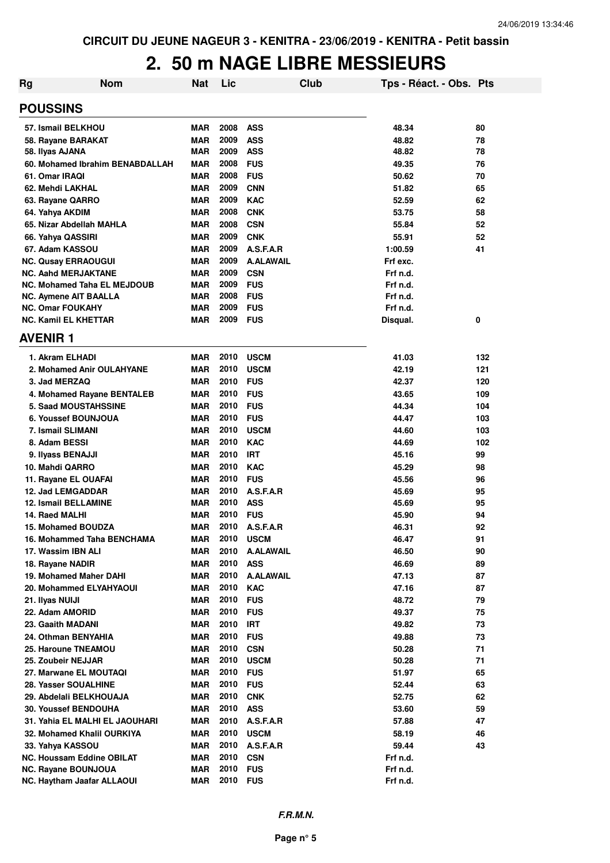# **2. 50 m NAGE LIBRE MESSIEURS**

| <b>Rg</b>      | <b>Nom</b>                         | <b>Nat</b> | Lic      | Club             | Tps - Réact. - Obs. Pts |     |
|----------------|------------------------------------|------------|----------|------------------|-------------------------|-----|
|                | <b>POUSSINS</b>                    |            |          |                  |                         |     |
|                | 57. Ismail BELKHOU                 | <b>MAR</b> | 2008     | <b>ASS</b>       | 48.34                   | 80  |
|                | 58. Rayane BARAKAT                 | <b>MAR</b> | 2009     | <b>ASS</b>       | 48.82                   | 78  |
|                | 58. Ilyas AJANA                    | <b>MAR</b> | 2009     | <b>ASS</b>       | 48.82                   | 78  |
|                | 60. Mohamed Ibrahim BENABDALLAH    | <b>MAR</b> | 2008     | <b>FUS</b>       | 49.35                   | 76  |
|                | 61. Omar IRAQI                     | <b>MAR</b> | 2008     | <b>FUS</b>       | 50.62                   | 70  |
|                | 62. Mehdi LAKHAL                   | <b>MAR</b> | 2009     | <b>CNN</b>       | 51.82                   | 65  |
|                | 63. Rayane QARRO                   | <b>MAR</b> | 2009     | <b>KAC</b>       | 52.59                   | 62  |
|                | 64. Yahya AKDIM                    | <b>MAR</b> | 2008     | <b>CNK</b>       | 53.75                   | 58  |
|                | 65. Nizar Abdellah MAHLA           | <b>MAR</b> | 2008     | <b>CSN</b>       | 55.84                   | 52  |
|                | 66. Yahya QASSIRI                  | <b>MAR</b> | 2009     | <b>CNK</b>       | 55.91                   | 52  |
|                | 67. Adam KASSOU                    | <b>MAR</b> | 2009     | A.S.F.A.R        | 1:00.59                 | 41  |
|                | <b>NC. Qusay ERRAOUGUI</b>         | <b>MAR</b> | 2009     | <b>A.ALAWAIL</b> | Frf exc.                |     |
|                | <b>NC. Aahd MERJAKTANE</b>         | <b>MAR</b> | 2009     | <b>CSN</b>       | Frf n.d.                |     |
|                | <b>NC. Mohamed Taha EL MEJDOUB</b> | MAR        | 2009     | <b>FUS</b>       | Frf n.d.                |     |
|                | <b>NC. Aymene AIT BAALLA</b>       | <b>MAR</b> | 2008     | <b>FUS</b>       | Frf n.d.                |     |
|                | <b>NC. Omar FOUKAHY</b>            | <b>MAR</b> | 2009     | <b>FUS</b>       | Frf n.d.                |     |
|                | <b>NC. Kamil EL KHETTAR</b>        | <b>MAR</b> | 2009     | <b>FUS</b>       | Disqual.                | 0   |
| <b>AVENIR1</b> |                                    |            |          |                  |                         |     |
|                | 1. Akram ELHADI                    | MAR        | 2010     | <b>USCM</b>      | 41.03                   | 132 |
|                | 2. Mohamed Anir OULAHYANE          | MAR        | 2010     | <b>USCM</b>      | 42.19                   | 121 |
|                | 3. Jad MERZAQ                      | <b>MAR</b> | 2010     | <b>FUS</b>       | 42.37                   | 120 |
|                | 4. Mohamed Rayane BENTALEB         | <b>MAR</b> | 2010     | <b>FUS</b>       | 43.65                   | 109 |
|                | <b>5. Saad MOUSTAHSSINE</b>        | <b>MAR</b> | 2010     | <b>FUS</b>       | 44.34                   | 104 |
|                | 6. Youssef BOUNJOUA                | <b>MAR</b> | 2010     | <b>FUS</b>       | 44.47                   | 103 |
|                | 7. Ismail SLIMANI                  | <b>MAR</b> | 2010     | <b>USCM</b>      | 44.60                   | 103 |
|                | 8. Adam BESSI                      | <b>MAR</b> | 2010     | <b>KAC</b>       | 44.69                   | 102 |
|                | 9. Ilyass BENAJJI                  | <b>MAR</b> | 2010     | <b>IRT</b>       | 45.16                   | 99  |
|                | 10. Mahdi QARRO                    | <b>MAR</b> | 2010     | <b>KAC</b>       | 45.29                   | 98  |
|                | 11. Rayane EL OUAFAI               | <b>MAR</b> | 2010     | <b>FUS</b>       | 45.56                   | 96  |
|                | 12. Jad LEMGADDAR                  | <b>MAR</b> | 2010     | A.S.F.A.R        | 45.69                   | 95  |
|                | <b>12. Ismail BELLAMINE</b>        | <b>MAR</b> | 2010     | <b>ASS</b>       | 45.69                   | 95  |
|                | 14. Raed MALHI                     | <b>MAR</b> | 2010     | <b>FUS</b>       | 45.90                   | 94  |
|                | <b>15. Mohamed BOUDZA</b>          | <b>MAR</b> | 2010     | A.S.F.A.R        | 46.31                   | 92  |
|                | 16. Mohammed Taha BENCHAMA         | <b>MAR</b> | 2010     | <b>USCM</b>      | 46.47                   | 91  |
|                | 17. Wassim IBN ALI                 | MAR        | 2010     | <b>A.ALAWAIL</b> | 46.50                   | 90  |
|                | 18. Rayane NADIR                   | <b>MAR</b> | 2010     | <b>ASS</b>       | 46.69                   | 89  |
|                | 19. Mohamed Maher DAHI             | <b>MAR</b> | 2010     | <b>A.ALAWAIL</b> | 47.13                   | 87  |
|                | 20. Mohammed ELYAHYAOUI            | <b>MAR</b> | 2010     | <b>KAC</b>       | 47.16                   | 87  |
|                | 21. Ilyas NUIJI                    | <b>MAR</b> | 2010     | <b>FUS</b>       | 48.72                   | 79  |
|                | 22. Adam AMORID                    | <b>MAR</b> | 2010     | <b>FUS</b>       | 49.37                   | 75  |
|                | 23. Gaaith MADANI                  | <b>MAR</b> | 2010     | <b>IRT</b>       | 49.82                   | 73  |
|                | 24. Othman BENYAHIA                | <b>MAR</b> | 2010     | <b>FUS</b>       | 49.88                   | 73  |
|                | 25. Haroune TNEAMOU                | <b>MAR</b> | 2010     | <b>CSN</b>       | 50.28                   | 71  |
|                | 25. Zoubeir NEJJAR                 | <b>MAR</b> | 2010     | <b>USCM</b>      | 50.28                   | 71  |
|                | 27. Marwane EL MOUTAQI             | <b>MAR</b> | 2010     | <b>FUS</b>       | 51.97                   | 65  |
|                | 28. Yasser SOUALHINE               | MAR        | 2010     | <b>FUS</b>       | 52.44                   | 63  |
|                | 29. Abdelali BELKHOUAJA            | MAR        | 2010     | <b>CNK</b>       | 52.75                   | 62  |
|                | 30. Youssef BENDOUHA               | MAR        | 2010     | <b>ASS</b>       | 53.60                   | 59  |
|                | 31. Yahia EL MALHI EL JAOUHARI     | MAR        | 2010     | A.S.F.A.R        | 57.88                   | 47  |
|                | 32. Mohamed Khalil OURKIYA         | MAR        | 2010     | <b>USCM</b>      | 58.19                   | 46  |
|                | 33. Yahya KASSOU                   | <b>MAR</b> | 2010     | A.S.F.A.R        | 59.44                   | 43  |
|                | <b>NC. Houssam Eddine OBILAT</b>   | MAR        | 2010     | <b>CSN</b>       | Frf n.d.                |     |
|                | NC. Rayane BOUNJOUA                | <b>MAR</b> | 2010     | <b>FUS</b>       | Frf n.d.                |     |
|                | NC. Haytham Jaafar ALLAOUI         | MAR        | 2010 FUS |                  | Frf n.d.                |     |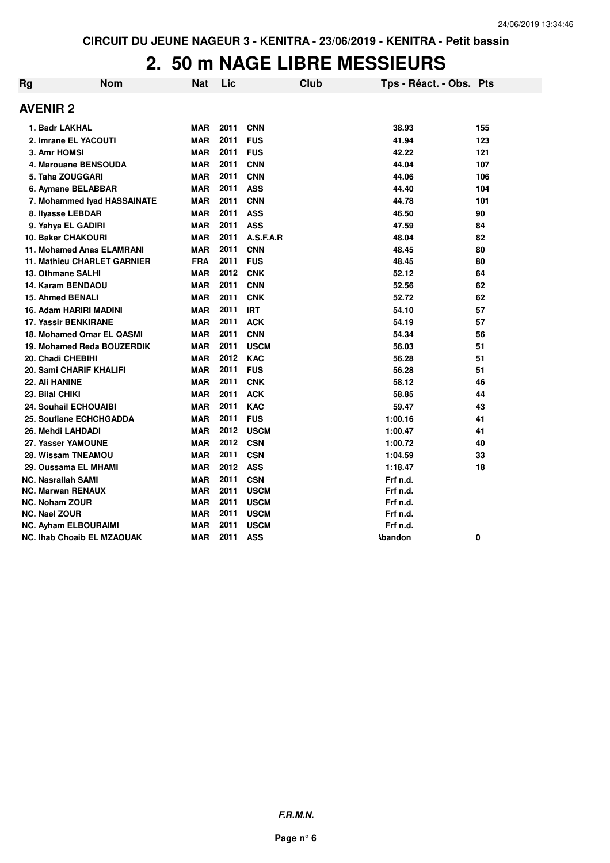## **2. 50 m NAGE LIBRE MESSIEURS**

| Rg | <b>Nom</b>                       | <b>Nat</b> | Lic  |             | Club | Tps - Réact. - Obs. Pts |     |
|----|----------------------------------|------------|------|-------------|------|-------------------------|-----|
|    | <b>AVENIR 2</b>                  |            |      |             |      |                         |     |
|    | 1. Badr LAKHAL                   | <b>MAR</b> | 2011 | <b>CNN</b>  |      | 38.93                   | 155 |
|    | 2. Imrane EL YACOUTI             | <b>MAR</b> | 2011 | <b>FUS</b>  |      | 41.94                   | 123 |
|    | 3. Amr HOMSI                     | <b>MAR</b> | 2011 | <b>FUS</b>  |      | 42.22                   | 121 |
|    | 4. Marouane BENSOUDA             | <b>MAR</b> | 2011 | <b>CNN</b>  |      | 44.04                   | 107 |
|    | 5. Taha ZOUGGARI                 | <b>MAR</b> | 2011 | <b>CNN</b>  |      | 44.06                   | 106 |
|    | 6. Aymane BELABBAR               | <b>MAR</b> | 2011 | <b>ASS</b>  |      | 44.40                   | 104 |
|    | 7. Mohammed Iyad HASSAINATE      | <b>MAR</b> | 2011 | <b>CNN</b>  |      | 44.78                   | 101 |
|    | 8. Ilyasse LEBDAR                | <b>MAR</b> | 2011 | <b>ASS</b>  |      | 46.50                   | 90  |
|    | 9. Yahya EL GADIRI               | <b>MAR</b> | 2011 | <b>ASS</b>  |      | 47.59                   | 84  |
|    | <b>10. Baker CHAKOURI</b>        | <b>MAR</b> | 2011 | A.S.F.A.R   |      | 48.04                   | 82  |
|    | <b>11. Mohamed Anas ELAMRANI</b> | <b>MAR</b> | 2011 | <b>CNN</b>  |      | 48.45                   | 80  |
|    | 11. Mathieu CHARLET GARNIER      | <b>FRA</b> | 2011 | <b>FUS</b>  |      | 48.45                   | 80  |
|    | 13. Othmane SALHI                | <b>MAR</b> | 2012 | <b>CNK</b>  |      | 52.12                   | 64  |
|    | 14. Karam BENDAOU                | <b>MAR</b> | 2011 | <b>CNN</b>  |      | 52.56                   | 62  |
|    | <b>15. Ahmed BENALI</b>          | <b>MAR</b> | 2011 | <b>CNK</b>  |      | 52.72                   | 62  |
|    | 16. Adam HARIRI MADINI           | <b>MAR</b> | 2011 | <b>IRT</b>  |      | 54.10                   | 57  |
|    | <b>17. Yassir BENKIRANE</b>      | <b>MAR</b> | 2011 | <b>ACK</b>  |      | 54.19                   | 57  |
|    | 18. Mohamed Omar EL QASMI        | <b>MAR</b> | 2011 | <b>CNN</b>  |      | 54.34                   | 56  |
|    | 19. Mohamed Reda BOUZERDIK       | <b>MAR</b> | 2011 | <b>USCM</b> |      | 56.03                   | 51  |
|    | 20. Chadi CHEBIHI                | <b>MAR</b> | 2012 | <b>KAC</b>  |      | 56.28                   | 51  |
|    | 20. Sami CHARIF KHALIFI          | <b>MAR</b> | 2011 | <b>FUS</b>  |      | 56.28                   | 51  |
|    | 22. Ali HANINE                   | <b>MAR</b> | 2011 | <b>CNK</b>  |      | 58.12                   | 46  |
|    | 23. Bilal CHIKI                  | <b>MAR</b> | 2011 | <b>ACK</b>  |      | 58.85                   | 44  |
|    | 24. Souhail ECHOUAIBI            | <b>MAR</b> | 2011 | <b>KAC</b>  |      | 59.47                   | 43  |
|    | 25. Soufiane ECHCHGADDA          | <b>MAR</b> | 2011 | <b>FUS</b>  |      | 1:00.16                 | 41  |
|    | 26. Mehdi LAHDADI                | <b>MAR</b> | 2012 | <b>USCM</b> |      | 1:00.47                 | 41  |
|    | 27. Yasser YAMOUNE               | <b>MAR</b> | 2012 | <b>CSN</b>  |      | 1:00.72                 | 40  |
|    | 28. Wissam TNEAMOU               | <b>MAR</b> | 2011 | <b>CSN</b>  |      | 1:04.59                 | 33  |
|    | 29. Oussama EL MHAMI             | <b>MAR</b> | 2012 | <b>ASS</b>  |      | 1:18.47                 | 18  |
|    | <b>NC. Nasrallah SAMI</b>        | <b>MAR</b> | 2011 | <b>CSN</b>  |      | Frf n.d.                |     |
|    | <b>NC. Marwan RENAUX</b>         | <b>MAR</b> | 2011 | <b>USCM</b> |      | Frf n.d.                |     |
|    | <b>NC. Noham ZOUR</b>            | <b>MAR</b> | 2011 | <b>USCM</b> |      | Frf n.d.                |     |
|    | <b>NC. Nael ZOUR</b>             | <b>MAR</b> | 2011 | <b>USCM</b> |      | Frf n.d.                |     |
|    | NC. Ayham ELBOURAIMI             | <b>MAR</b> | 2011 | <b>USCM</b> |      | Frf n.d.                |     |
|    | NC. Ihab Choaib EL MZAOUAK       | <b>MAR</b> | 2011 | <b>ASS</b>  |      | <b>Abandon</b>          | 0   |

**F.R.M.N.**

**Page n° 6**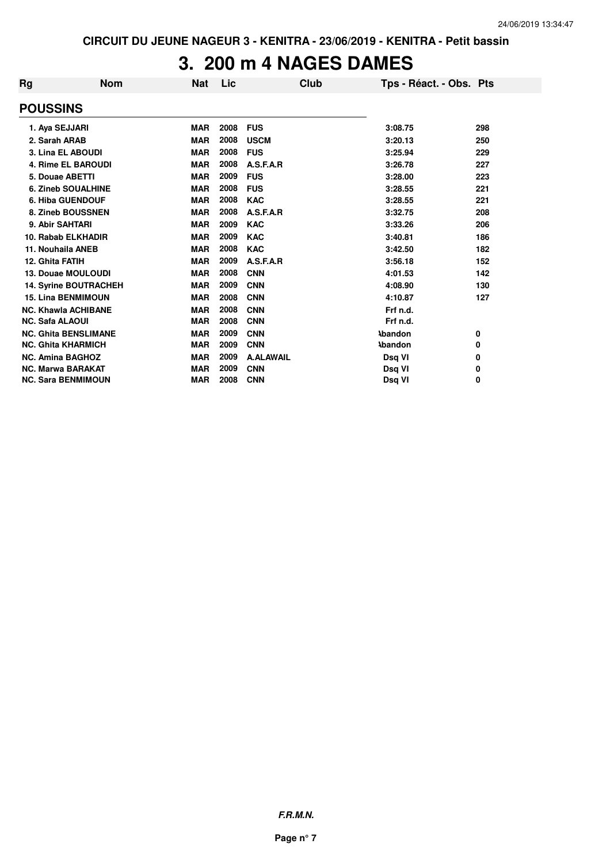## **3. 200 m 4 NAGES DAMES**

| Rg                           | <b>Nom</b> | <b>Nat</b> | Lic  |                  | <b>Club</b> | Tps - Réact. - Obs. Pts |     |
|------------------------------|------------|------------|------|------------------|-------------|-------------------------|-----|
| <b>POUSSINS</b>              |            |            |      |                  |             |                         |     |
| 1. Aya SEJJARI               |            | <b>MAR</b> | 2008 | <b>FUS</b>       |             | 3:08.75                 | 298 |
| 2. Sarah ARAB                |            | <b>MAR</b> | 2008 | <b>USCM</b>      |             | 3:20.13                 | 250 |
| 3. Lina EL ABOUDI            |            | <b>MAR</b> | 2008 | <b>FUS</b>       |             | 3:25.94                 | 229 |
| <b>4. Rime EL BAROUDI</b>    |            | <b>MAR</b> | 2008 | A.S.F.A.R        |             | 3:26.78                 | 227 |
| 5. Douae ABETTI              |            | <b>MAR</b> | 2009 | <b>FUS</b>       |             | 3:28.00                 | 223 |
| <b>6. Zineb SOUALHINE</b>    |            | <b>MAR</b> | 2008 | <b>FUS</b>       |             | 3:28.55                 | 221 |
| <b>6. Hiba GUENDOUF</b>      |            | <b>MAR</b> | 2008 | <b>KAC</b>       |             | 3:28.55                 | 221 |
| 8. Zineb BOUSSNEN            |            | <b>MAR</b> | 2008 | A.S.F.A.R        |             | 3:32.75                 | 208 |
| 9. Abir SAHTARI              |            | <b>MAR</b> | 2009 | <b>KAC</b>       |             | 3:33.26                 | 206 |
| 10. Rabab ELKHADIR           |            | <b>MAR</b> | 2009 | <b>KAC</b>       |             | 3:40.81                 | 186 |
| 11. Nouhaila ANEB            |            | <b>MAR</b> | 2008 | <b>KAC</b>       |             | 3:42.50                 | 182 |
| 12. Ghita FATIH              |            | <b>MAR</b> | 2009 | A.S.F.A.R        |             | 3:56.18                 | 152 |
| <b>13. Douae MOULOUDI</b>    |            | <b>MAR</b> | 2008 | <b>CNN</b>       |             | 4:01.53                 | 142 |
| <b>14. Syrine BOUTRACHEH</b> |            | <b>MAR</b> | 2009 | <b>CNN</b>       |             | 4:08.90                 | 130 |
| <b>15. Lina BENMIMOUN</b>    |            | <b>MAR</b> | 2008 | <b>CNN</b>       |             | 4:10.87                 | 127 |
| <b>NC. Khawla ACHIBANE</b>   |            | <b>MAR</b> | 2008 | <b>CNN</b>       |             | Frf n.d.                |     |
| <b>NC. Safa ALAOUI</b>       |            | <b>MAR</b> | 2008 | <b>CNN</b>       |             | Frf n.d.                |     |
| <b>NC. Ghita BENSLIMANE</b>  |            | <b>MAR</b> | 2009 | <b>CNN</b>       |             | <b>\bandon</b>          | 0   |
| <b>NC. Ghita KHARMICH</b>    |            | <b>MAR</b> | 2009 | <b>CNN</b>       |             | <b>\bandon</b>          | 0   |
| <b>NC. Amina BAGHOZ</b>      |            | <b>MAR</b> | 2009 | <b>A.ALAWAIL</b> |             | Dsq VI                  | 0   |
| <b>NC. Marwa BARAKAT</b>     |            | <b>MAR</b> | 2009 | <b>CNN</b>       |             | Dsq VI                  | 0   |
| <b>NC. Sara BENMIMOUN</b>    |            | <b>MAR</b> | 2008 | <b>CNN</b>       |             | Dsq VI                  | 0   |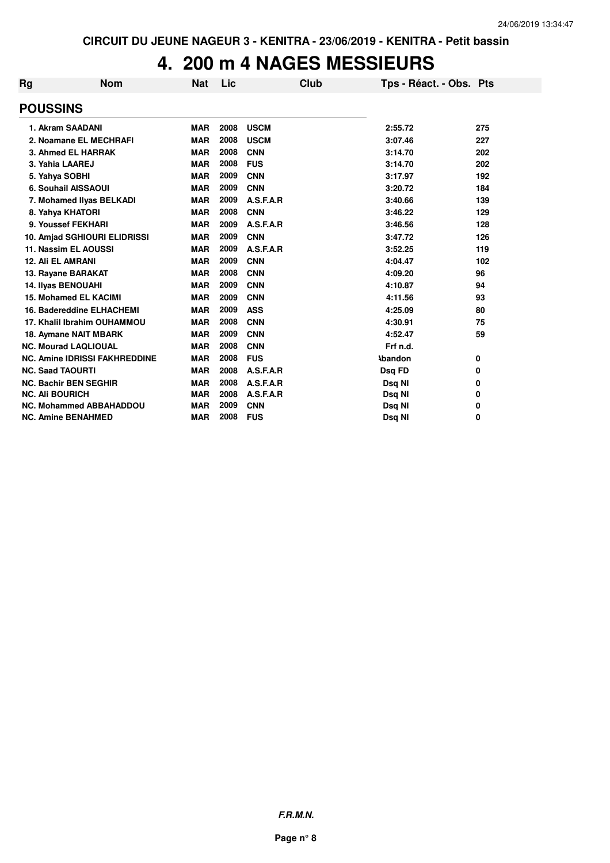# **4. 200 m 4 NAGES MESSIEURS**

| Rg | <b>Nom</b>                           | <b>Nat</b> | Lic  |             | <b>Club</b> | Tps - Réact. - Obs. Pts |     |
|----|--------------------------------------|------------|------|-------------|-------------|-------------------------|-----|
|    | <b>POUSSINS</b>                      |            |      |             |             |                         |     |
|    | 1. Akram SAADANI                     | <b>MAR</b> | 2008 | <b>USCM</b> |             | 2:55.72                 | 275 |
|    | 2. Noamane EL MECHRAFI               | <b>MAR</b> | 2008 | <b>USCM</b> |             | 3:07.46                 | 227 |
|    | 3. Ahmed EL HARRAK                   | <b>MAR</b> | 2008 | <b>CNN</b>  |             | 3:14.70                 | 202 |
|    | 3. Yahia LAAREJ                      | <b>MAR</b> | 2008 | <b>FUS</b>  |             | 3:14.70                 | 202 |
|    | 5. Yahya SOBHI                       | <b>MAR</b> | 2009 | <b>CNN</b>  |             | 3:17.97                 | 192 |
|    | 6. Souhail AISSAOUI                  | <b>MAR</b> | 2009 | <b>CNN</b>  |             | 3:20.72                 | 184 |
|    | 7. Mohamed Ilyas BELKADI             | <b>MAR</b> | 2009 | A.S.F.A.R   |             | 3:40.66                 | 139 |
|    | 8. Yahya KHATORI                     | <b>MAR</b> | 2008 | <b>CNN</b>  |             | 3:46.22                 | 129 |
|    | 9. Youssef FEKHARI                   | <b>MAR</b> | 2009 | A.S.F.A.R   |             | 3:46.56                 | 128 |
|    | 10. Amjad SGHIOURI ELIDRISSI         | <b>MAR</b> | 2009 | <b>CNN</b>  |             | 3:47.72                 | 126 |
|    | 11. Nassim EL AOUSSI                 | <b>MAR</b> | 2009 | A.S.F.A.R   |             | 3:52.25                 | 119 |
|    | <b>12. Ali EL AMRANI</b>             | <b>MAR</b> | 2009 | <b>CNN</b>  |             | 4:04.47                 | 102 |
|    | 13. Rayane BARAKAT                   | <b>MAR</b> | 2008 | <b>CNN</b>  |             | 4:09.20                 | 96  |
|    | 14. Ilyas BENOUAHI                   | <b>MAR</b> | 2009 | <b>CNN</b>  |             | 4:10.87                 | 94  |
|    | 15. Mohamed EL KACIMI                | <b>MAR</b> | 2009 | <b>CNN</b>  |             | 4:11.56                 | 93  |
|    | 16. Badereddine ELHACHEMI            | <b>MAR</b> | 2009 | <b>ASS</b>  |             | 4:25.09                 | 80  |
|    | 17. Khalil Ibrahim OUHAMMOU          | <b>MAR</b> | 2008 | <b>CNN</b>  |             | 4:30.91                 | 75  |
|    | 18. Aymane NAIT MBARK                | <b>MAR</b> | 2009 | <b>CNN</b>  |             | 4:52.47                 | 59  |
|    | <b>NC. Mourad LAQLIOUAL</b>          | <b>MAR</b> | 2008 | <b>CNN</b>  |             | Frf n.d.                |     |
|    | <b>NC. Amine IDRISSI FAKHREDDINE</b> | <b>MAR</b> | 2008 | <b>FUS</b>  |             | <b>Abandon</b>          | 0   |
|    | <b>NC. Saad TAOURTI</b>              | <b>MAR</b> | 2008 | A.S.F.A.R   |             | Dsq FD                  | 0   |
|    | <b>NC. Bachir BEN SEGHIR</b>         | <b>MAR</b> | 2008 | A.S.F.A.R   |             | Dsq NI                  | 0   |
|    | <b>NC. Ali BOURICH</b>               | <b>MAR</b> | 2008 | A.S.F.A.R   |             | Dsq NI                  | 0   |
|    | <b>NC. Mohammed ABBAHADDOU</b>       | <b>MAR</b> | 2009 | <b>CNN</b>  |             | Dsq NI                  | 0   |
|    | <b>NC. Amine BENAHMED</b>            | <b>MAR</b> | 2008 | <b>FUS</b>  |             | Dsq NI                  | 0   |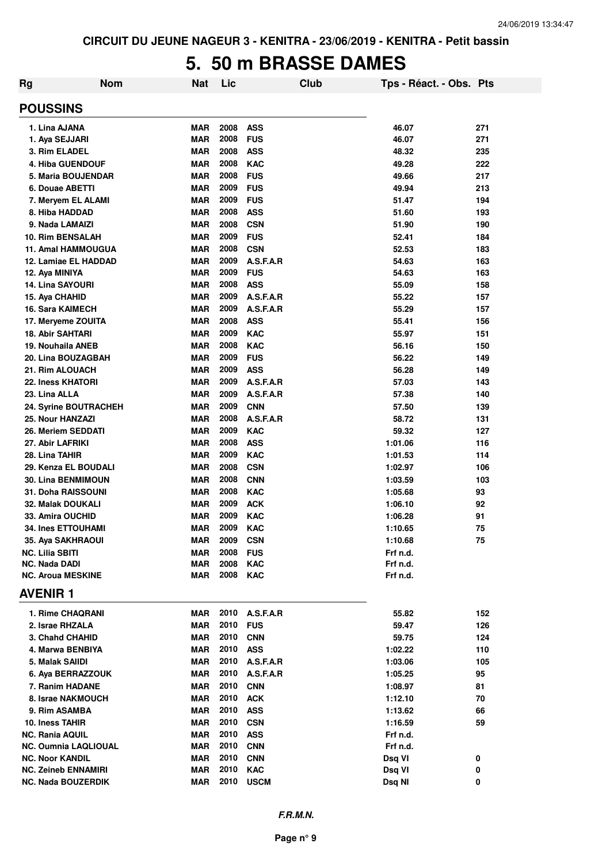#### **5. 50 m BRASSE DAMES**

| Rg | <b>Nom</b>                         | Nat                      | Lic          |                          | Club | Tps - Réact. - Obs. Pts |            |
|----|------------------------------------|--------------------------|--------------|--------------------------|------|-------------------------|------------|
|    | <b>POUSSINS</b>                    |                          |              |                          |      |                         |            |
|    | 1. Lina AJANA                      | <b>MAR</b>               | 2008         | <b>ASS</b>               |      | 46.07                   | 271        |
|    | 1. Aya SEJJARI                     | <b>MAR</b>               | 2008         | <b>FUS</b>               |      | 46.07                   | 271        |
|    | 3. Rim ELADEL                      | <b>MAR</b>               | 2008         | <b>ASS</b>               |      | 48.32                   | 235        |
|    | <b>4. Hiba GUENDOUF</b>            | <b>MAR</b>               | 2008         | <b>KAC</b>               |      | 49.28                   | 222        |
|    | 5. Maria BOUJENDAR                 | <b>MAR</b>               | 2008         | <b>FUS</b>               |      | 49.66                   | 217        |
|    | 6. Douae ABETTI                    | <b>MAR</b>               | 2009         | <b>FUS</b>               |      | 49.94                   | 213        |
|    | 7. Meryem EL ALAMI                 | <b>MAR</b>               | 2009         | <b>FUS</b>               |      | 51.47                   | 194        |
|    | 8. Hiba HADDAD                     | <b>MAR</b>               | 2008         | <b>ASS</b>               |      | 51.60                   | 193        |
|    | 9. Nada LAMAIZI                    | <b>MAR</b>               | 2008         | <b>CSN</b>               |      | 51.90                   | 190        |
|    | <b>10. Rim BENSALAH</b>            | <b>MAR</b>               | 2009         | <b>FUS</b>               |      | 52.41                   | 184        |
|    | <b>11. Amal HAMMOUGUA</b>          | <b>MAR</b>               | 2008         | <b>CSN</b>               |      | 52.53                   | 183        |
|    | 12. Lamiae EL HADDAD               | <b>MAR</b>               | 2009         | A.S.F.A.R                |      | 54.63                   | 163        |
|    | 12. Aya MINIYA                     | <b>MAR</b>               | 2009         | <b>FUS</b>               |      | 54.63                   | 163        |
|    | 14. Lina SAYOURI                   | <b>MAR</b>               | 2008         | <b>ASS</b>               |      | 55.09                   | 158        |
|    | 15. Aya CHAHID                     | <b>MAR</b>               | 2009         | A.S.F.A.R                |      | 55.22                   | 157        |
|    | <b>16. Sara KAIMECH</b>            | <b>MAR</b>               | 2009         | A.S.F.A.R                |      | 55.29                   | 157        |
|    | 17. Meryeme ZOUITA                 | <b>MAR</b>               | 2008         | <b>ASS</b>               |      | 55.41                   | 156        |
|    | <b>18. Abir SAHTARI</b>            | <b>MAR</b>               | 2009         | <b>KAC</b>               |      | 55.97                   | 151        |
|    | 19. Nouhaila ANEB                  | <b>MAR</b>               | 2008         | <b>KAC</b>               |      | 56.16                   | 150        |
|    | 20. Lina BOUZAGBAH                 | <b>MAR</b>               | 2009         | <b>FUS</b>               |      | 56.22                   | 149        |
|    | 21. Rim ALOUACH                    | <b>MAR</b>               | 2009         | <b>ASS</b>               |      | 56.28                   | 149        |
|    | 22. Iness KHATORI                  | <b>MAR</b>               | 2009         | A.S.F.A.R                |      | 57.03                   | 143        |
|    | 23. Lina ALLA                      | <b>MAR</b>               | 2009         | A.S.F.A.R                |      | 57.38                   | 140        |
|    | 24. Syrine BOUTRACHEH              | <b>MAR</b>               | 2009         | <b>CNN</b>               |      | 57.50                   | 139        |
|    | 25. Nour HANZAZI                   | <b>MAR</b>               | 2008<br>2009 | A.S.F.A.R                |      | 58.72                   | 131        |
|    | 26. Meriem SEDDATI                 | <b>MAR</b>               | 2008         | <b>KAC</b><br><b>ASS</b> |      | 59.32                   | 127        |
|    | 27. Abir LAFRIKI<br>28. Lina TAHIR | <b>MAR</b><br><b>MAR</b> | 2009         | <b>KAC</b>               |      | 1:01.06                 | 116<br>114 |
|    | 29. Kenza EL BOUDALI               | <b>MAR</b>               | 2008         | <b>CSN</b>               |      | 1:01.53<br>1:02.97      | 106        |
|    | <b>30. Lina BENMIMOUN</b>          | <b>MAR</b>               | 2008         | <b>CNN</b>               |      | 1:03.59                 | 103        |
|    | 31. Doha RAISSOUNI                 | <b>MAR</b>               | 2008         | <b>KAC</b>               |      | 1:05.68                 | 93         |
|    | <b>32. Malak DOUKALI</b>           | <b>MAR</b>               | 2009         | <b>ACK</b>               |      | 1:06.10                 | 92         |
|    | 33. Amira OUCHID                   | <b>MAR</b>               | 2009         | <b>KAC</b>               |      | 1:06.28                 | 91         |
|    | <b>34. Ines ETTOUHAMI</b>          | MAR                      | 2009         | <b>KAC</b>               |      | 1:10.65                 | 75         |
|    | 35. Aya SAKHRAOUI                  | <b>MAR</b>               | 2009         | <b>CSN</b>               |      | 1:10.68                 | 75         |
|    | <b>NC. Lilia SBITI</b>             | <b>MAR</b>               | 2008         | <b>FUS</b>               |      | Frf n.d.                |            |
|    | <b>NC. Nada DADI</b>               | <b>MAR</b>               | 2008         | <b>KAC</b>               |      | Frf n.d.                |            |
|    | <b>NC. Aroua MESKINE</b>           | <b>MAR</b>               | 2008         | <b>KAC</b>               |      | Frf n.d.                |            |
|    | <b>AVENIR 1</b>                    |                          |              |                          |      |                         |            |
|    | 1. Rime CHAQRANI                   | <b>MAR</b>               | 2010         | A.S.F.A.R                |      | 55.82                   | 152        |
|    | 2. Israe RHZALA                    | <b>MAR</b>               | 2010         | <b>FUS</b>               |      | 59.47                   | 126        |
|    | 3. Chahd CHAHID                    | <b>MAR</b>               | 2010         | <b>CNN</b>               |      | 59.75                   | 124        |
|    | 4. Marwa BENBIYA                   | <b>MAR</b>               | 2010         | <b>ASS</b>               |      | 1:02.22                 | 110        |
|    | 5. Malak SAIIDI                    | MAR                      | 2010         | A.S.F.A.R                |      | 1:03.06                 | 105        |
|    | 6. Aya BERRAZZOUK                  | <b>MAR</b>               | 2010         | A.S.F.A.R                |      | 1:05.25                 | 95         |
|    | 7. Ranim HADANE                    | <b>MAR</b>               | 2010         | <b>CNN</b>               |      | 1:08.97                 | 81         |
|    | 8. Israe NAKMOUCH                  | <b>MAR</b>               | 2010         | <b>ACK</b>               |      | 1:12.10                 | 70         |
|    | 9. Rim ASAMBA                      | <b>MAR</b>               | 2010         | <b>ASS</b>               |      | 1:13.62                 | 66         |
|    | 10. Iness TAHIR                    | <b>MAR</b>               | 2010         | <b>CSN</b>               |      | 1:16.59                 | 59         |
|    | NC. Rania AQUIL                    | <b>MAR</b>               | 2010         | <b>ASS</b>               |      | Frf n.d.                |            |
|    | NC. Oumnia LAQLIOUAL               | <b>MAR</b>               | 2010         | <b>CNN</b>               |      | Frf n.d.                |            |
|    | <b>NC. Noor KANDIL</b>             | <b>MAR</b>               | 2010         | <b>CNN</b>               |      | Dsq VI                  | 0          |
|    | <b>NC. Zeineb ENNAMIRI</b>         | <b>MAR</b>               | 2010         | KAC                      |      | Dsq VI                  | 0          |
|    | <b>NC. Nada BOUZERDIK</b>          | <b>MAR</b>               | 2010         | <b>USCM</b>              |      | Dsq NI                  | 0          |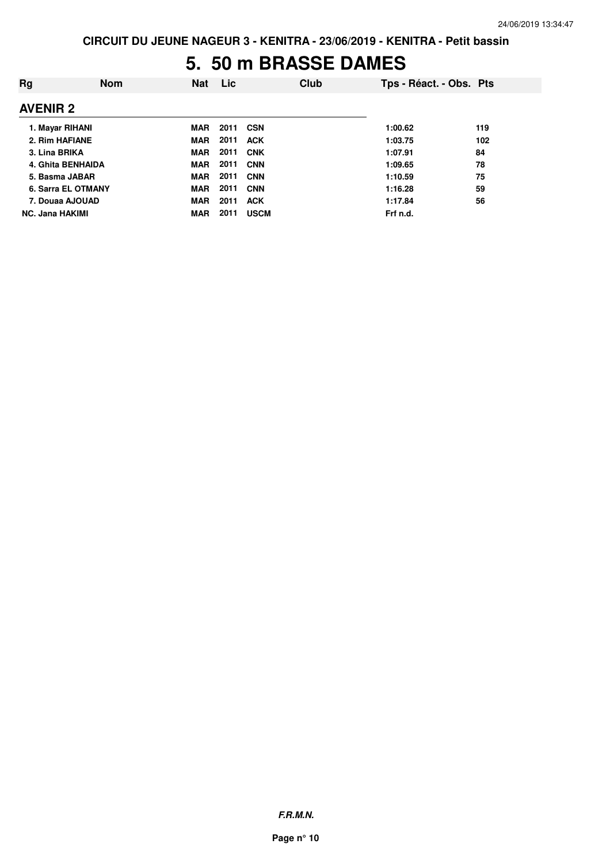#### **5. 50 m BRASSE DAMES**

| Rg                        | <b>Nom</b> | <b>Nat</b> | <b>Lic</b> |             | Club | Tps - Réact. - Obs. Pts |     |
|---------------------------|------------|------------|------------|-------------|------|-------------------------|-----|
| <b>AVENIR 2</b>           |            |            |            |             |      |                         |     |
| 1. Mayar RIHANI           |            | <b>MAR</b> | 2011       | <b>CSN</b>  |      | 1:00.62                 | 119 |
| 2. Rim HAFIANE            |            | <b>MAR</b> | 2011       | <b>ACK</b>  |      | 1:03.75                 | 102 |
| 3. Lina BRIKA             |            | MAR        | 2011       | <b>CNK</b>  |      | 1:07.91                 | 84  |
| 4. Ghita BENHAIDA         |            | MAR        | 2011       | <b>CNN</b>  |      | 1:09.65                 | 78  |
| 5. Basma JABAR            |            | MAR        | 2011       | <b>CNN</b>  |      | 1:10.59                 | 75  |
| <b>6. Sarra EL OTMANY</b> |            | <b>MAR</b> | 2011       | <b>CNN</b>  |      | 1:16.28                 | 59  |
| 7. Douaa AJOUAD           |            | <b>MAR</b> | 2011       | <b>ACK</b>  |      | 1:17.84                 | 56  |
| <b>NC. Jana HAKIMI</b>    |            | <b>MAR</b> | 2011       | <b>USCM</b> |      | Frf n.d.                |     |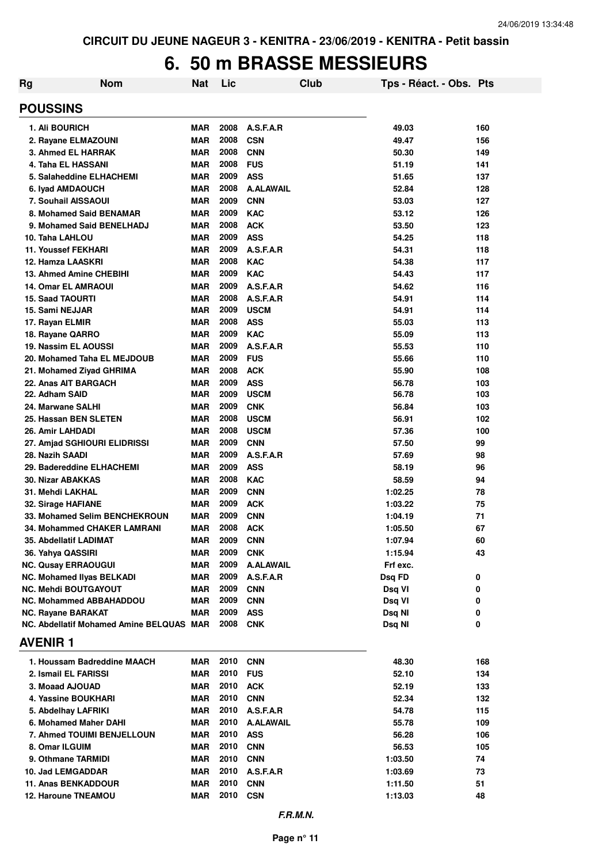### **6. 50 m BRASSE MESSIEURS**

| Rg                         | <b>Nom</b>                               | <b>Nat</b> | Lic          |                  | Club | Tps - Réact. - Obs. Pts |        |
|----------------------------|------------------------------------------|------------|--------------|------------------|------|-------------------------|--------|
| <b>POUSSINS</b>            |                                          |            |              |                  |      |                         |        |
| 1. Ali BOURICH             |                                          | <b>MAR</b> | 2008         | A.S.F.A.R        |      | 49.03                   | 160    |
|                            | 2. Rayane ELMAZOUNI                      | <b>MAR</b> | 2008         | <b>CSN</b>       |      | 49.47                   | 156    |
|                            | 3. Ahmed EL HARRAK                       | <b>MAR</b> | 2008         | <b>CNN</b>       |      | 50.30                   | 149    |
|                            | 4. Taha EL HASSANI                       | <b>MAR</b> | 2008         | <b>FUS</b>       |      | 51.19                   | 141    |
|                            | 5. Salaheddine ELHACHEMI                 | <b>MAR</b> | 2009         | <b>ASS</b>       |      | 51.65                   | 137    |
| 6. Iyad AMDAOUCH           |                                          | <b>MAR</b> | 2008         | <b>A.ALAWAIL</b> |      | 52.84                   | 128    |
|                            | 7. Souhail AISSAOUI                      | <b>MAR</b> | 2009         | <b>CNN</b>       |      | 53.03                   | 127    |
|                            | 8. Mohamed Said BENAMAR                  | <b>MAR</b> | 2009         | <b>KAC</b>       |      | 53.12                   | 126    |
|                            | 9. Mohamed Said BENELHADJ                | <b>MAR</b> | 2008         | <b>ACK</b>       |      | 53.50                   | 123    |
| 10. Taha LAHLOU            |                                          | <b>MAR</b> | 2009         | <b>ASS</b>       |      | 54.25                   | 118    |
| <b>11. Youssef FEKHARI</b> |                                          | <b>MAR</b> | 2009         | A.S.F.A.R        |      | 54.31                   | 118    |
| 12. Hamza LAASKRI          |                                          | <b>MAR</b> | 2008         | <b>KAC</b>       |      | 54.38                   | 117    |
|                            | 13. Ahmed Amine CHEBIHI                  | <b>MAR</b> | 2009         | <b>KAC</b>       |      | 54.43                   | 117    |
|                            | <b>14. Omar EL AMRAOUI</b>               | <b>MAR</b> | 2009         | A.S.F.A.R        |      | 54.62                   | 116    |
| <b>15. Saad TAOURTI</b>    |                                          | <b>MAR</b> | 2008         | A.S.F.A.R        |      | 54.91                   | 114    |
| 15. Sami NEJJAR            |                                          | <b>MAR</b> | 2009         | <b>USCM</b>      |      | 54.91                   | 114    |
| 17. Rayan ELMIR            |                                          | <b>MAR</b> | 2008         | <b>ASS</b>       |      | 55.03                   | 113    |
| 18. Rayane QARRO           |                                          | <b>MAR</b> | 2009         | <b>KAC</b>       |      | 55.09                   | 113    |
|                            | 19. Nassim EL AOUSSI                     | <b>MAR</b> | 2009         | A.S.F.A.R        |      | 55.53                   | 110    |
|                            | 20. Mohamed Taha EL MEJDOUB              | <b>MAR</b> | 2009         | <b>FUS</b>       |      | 55.66                   | 110    |
|                            | 21. Mohamed Ziyad GHRIMA                 | <b>MAR</b> | 2008         | <b>ACK</b>       |      | 55.90                   | 108    |
|                            | 22. Anas AIT BARGACH                     | <b>MAR</b> | 2009         | <b>ASS</b>       |      | 56.78                   | 103    |
| 22. Adham SAID             |                                          | <b>MAR</b> | 2009         | <b>USCM</b>      |      | 56.78                   | 103    |
| 24. Marwane SALHI          |                                          | <b>MAR</b> | 2009         | <b>CNK</b>       |      | 56.84                   | 103    |
|                            | 25. Hassan BEN SLETEN                    | <b>MAR</b> | 2008         | <b>USCM</b>      |      | 56.91                   | 102    |
| 26. Amir LAHDADI           |                                          | <b>MAR</b> | 2008         | <b>USCM</b>      |      | 57.36                   | 100    |
|                            | 27. Amjad SGHIOURI ELIDRISSI             | <b>MAR</b> | 2009         | <b>CNN</b>       |      | 57.50                   | 99     |
| 28. Nazih SAADI            |                                          | <b>MAR</b> | 2009         | A.S.F.A.R        |      | 57.69                   | 98     |
|                            | 29. Badereddine ELHACHEMI                | <b>MAR</b> | 2009         | <b>ASS</b>       |      | 58.19                   | 96     |
| <b>30. Nizar ABAKKAS</b>   |                                          | <b>MAR</b> | 2008         | <b>KAC</b>       |      | 58.59                   | 94     |
| 31. Mehdi LAKHAL           |                                          | <b>MAR</b> | 2009         | <b>CNN</b>       |      | 1:02.25                 | 78     |
| 32. Sirage HAFIANE         |                                          | <b>MAR</b> | 2009         | <b>ACK</b>       |      | 1:03.22                 | 75     |
|                            | 33. Mohamed Selim BENCHEKROUN            | <b>MAR</b> | 2009         | <b>CNN</b>       |      | 1:04.19                 | 71     |
|                            | 34. Mohammed CHAKER LAMRANI              | <b>MAR</b> | 2008         | <b>ACK</b>       |      | 1:05.50                 | 67     |
|                            | 35. Abdellatif LADIMAT                   | MAR        | 2009         | <b>CNN</b>       |      | 1:07.94                 | 60     |
| 36. Yahya QASSIRI          |                                          | <b>MAR</b> | 2009         | <b>CNK</b>       |      | 1:15.94                 | 43     |
|                            | <b>NC. Qusay ERRAOUGUI</b>               | <b>MAR</b> | 2009         | <b>A.ALAWAIL</b> |      | Frf exc.                |        |
|                            | <b>NC. Mohamed IIvas BELKADI</b>         | <b>MAR</b> | 2009         | A.S.F.A.R        |      | Dsq FD                  | 0      |
|                            | <b>NC. Mehdi BOUTGAYOUT</b>              | <b>MAR</b> | 2009         | <b>CNN</b>       |      | Dsq VI                  | 0      |
|                            | <b>NC. Mohammed ABBAHADDOU</b>           | <b>MAR</b> | 2009         | <b>CNN</b>       |      | Dsq VI                  | 0      |
| NC. Rayane BARAKAT         | NC. Abdellatif Mohamed Amine BELQUAS MAR | MAR        | 2009<br>2008 | <b>ASS</b>       |      | Dsq NI                  | 0<br>0 |
| <b>AVENIR1</b>             |                                          |            |              | <b>CNK</b>       |      | Dsq NI                  |        |
|                            |                                          |            |              |                  |      |                         |        |
|                            | 1. Houssam Badreddine MAACH              | MAR        | 2010         | <b>CNN</b>       |      | 48.30                   | 168    |
|                            | 2. Ismail EL FARISSI                     | MAR        | 2010         | <b>FUS</b>       |      | 52.10                   | 134    |
| 3. Moaad AJOUAD            |                                          | <b>MAR</b> | 2010         | <b>ACK</b>       |      | 52.19                   | 133    |
|                            | 4. Yassine BOUKHARI                      | MAR        | 2010         | <b>CNN</b>       |      | 52.34                   | 132    |
|                            | 5. Abdelhay LAFRIKI                      | MAR        | 2010         | A.S.F.A.R        |      | 54.78                   | 115    |
|                            | 6. Mohamed Maher DAHI                    | MAR        | 2010         | <b>A.ALAWAIL</b> |      | 55.78                   | 109    |
|                            | 7. Ahmed TOUIMI BENJELLOUN               | MAR        | 2010         | <b>ASS</b>       |      | 56.28                   | 106    |
| 8. Omar ILGUIM             |                                          | MAR        | 2010         | <b>CNN</b>       |      | 56.53                   | 105    |
|                            | 9. Othmane TARMIDI                       | MAR        | 2010<br>2010 | <b>CNN</b>       |      | 1:03.50                 | 74     |
| 10. Jad LEMGADDAR          |                                          | MAR        | 2010         | A.S.F.A.R        |      | 1:03.69                 | 73     |
|                            | 11. Anas BENKADDOUR                      | <b>MAR</b> |              | <b>CNN</b>       |      | 1:11.50                 | 51     |
|                            | <b>12. Haroune TNEAMOU</b>               | <b>MAR</b> | 2010         | <b>CSN</b>       |      | 1:13.03                 | 48     |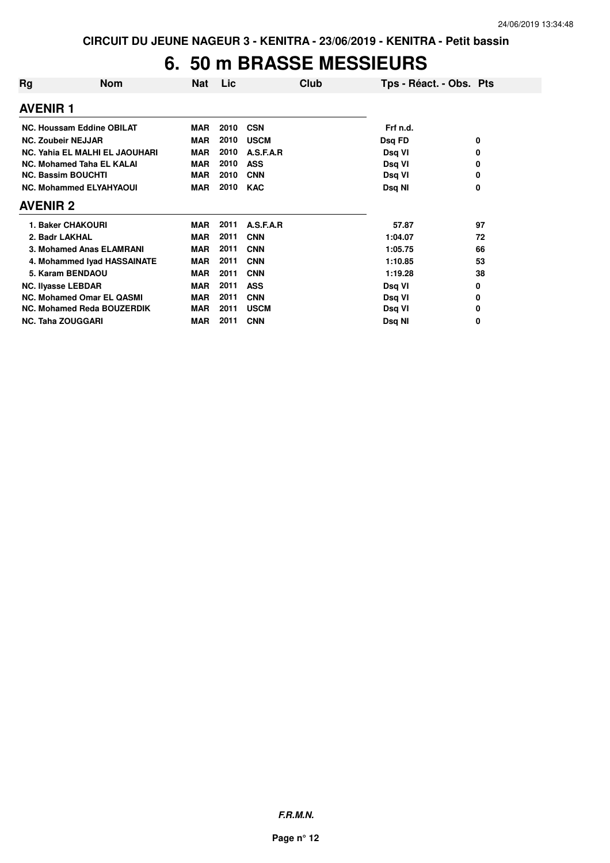# **6. 50 m BRASSE MESSIEURS**

| Rg              | <b>Nom</b>                        | Nat        | Lic  | Club        | Tps - Réact. - Obs. Pts |    |
|-----------------|-----------------------------------|------------|------|-------------|-------------------------|----|
| <b>AVENIR 1</b> |                                   |            |      |             |                         |    |
|                 | NC. Houssam Eddine OBILAT         | <b>MAR</b> | 2010 | <b>CSN</b>  | Frf n.d.                |    |
|                 | <b>NC. Zoubeir NEJJAR</b>         | <b>MAR</b> | 2010 | <b>USCM</b> | Dsq FD                  | 0  |
|                 | NC. Yahia EL MALHI EL JAOUHARI    | <b>MAR</b> | 2010 | A.S.F.A.R   | Dsq VI                  | 0  |
|                 | <b>NC. Mohamed Taha EL KALAI</b>  | <b>MAR</b> | 2010 | <b>ASS</b>  | Dsq VI                  | 0  |
|                 | <b>NC. Bassim BOUCHTI</b>         | <b>MAR</b> | 2010 | <b>CNN</b>  | Dsq VI                  | 0  |
|                 | <b>NC. Mohammed ELYAHYAOUI</b>    | <b>MAR</b> | 2010 | <b>KAC</b>  | Dsq NI                  | 0  |
| <b>AVENIR 2</b> |                                   |            |      |             |                         |    |
|                 | 1. Baker CHAKOURI                 | <b>MAR</b> | 2011 | A.S.F.A.R   | 57.87                   | 97 |
| 2. Badr LAKHAL  |                                   | <b>MAR</b> | 2011 | <b>CNN</b>  | 1:04.07                 | 72 |
|                 | 3. Mohamed Anas ELAMRANI          | <b>MAR</b> | 2011 | <b>CNN</b>  | 1:05.75                 | 66 |
|                 | 4. Mohammed Iyad HASSAINATE       | <b>MAR</b> | 2011 | <b>CNN</b>  | 1:10.85                 | 53 |
|                 | 5. Karam BENDAOU                  | <b>MAR</b> | 2011 | <b>CNN</b>  | 1:19.28                 | 38 |
|                 | <b>NC. Ilyasse LEBDAR</b>         | <b>MAR</b> | 2011 | <b>ASS</b>  | Dsq VI                  | 0  |
|                 | <b>NC. Mohamed Omar EL QASMI</b>  | <b>MAR</b> | 2011 | <b>CNN</b>  | Dsq VI                  | 0  |
|                 | <b>NC. Mohamed Reda BOUZERDIK</b> | <b>MAR</b> | 2011 | <b>USCM</b> | Dsq VI                  | 0  |
|                 | <b>NC. Taha ZOUGGARI</b>          | MAR        | 2011 | <b>CNN</b>  | Dsq NI                  | 0  |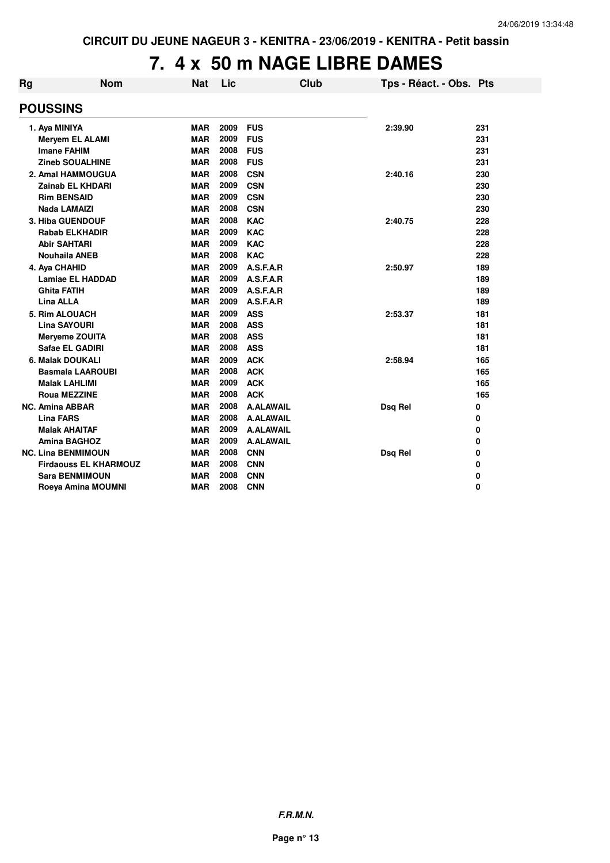# **7. 4 x 50 m NAGE LIBRE DAMES**

| Rg | <b>Nom</b>                   | <b>Nat</b> | Lic  | <b>Club</b>      | Tps - Réact. - Obs. Pts |     |
|----|------------------------------|------------|------|------------------|-------------------------|-----|
|    | <b>POUSSINS</b>              |            |      |                  |                         |     |
|    | 1. Aya MINIYA                | <b>MAR</b> | 2009 | <b>FUS</b>       | 2:39.90                 | 231 |
|    | <b>Meryem EL ALAMI</b>       | <b>MAR</b> | 2009 | <b>FUS</b>       |                         | 231 |
|    | <b>Imane FAHIM</b>           | <b>MAR</b> | 2008 | <b>FUS</b>       |                         | 231 |
|    | <b>Zineb SOUALHINE</b>       | <b>MAR</b> | 2008 | <b>FUS</b>       |                         | 231 |
|    | 2. Amal HAMMOUGUA            | <b>MAR</b> | 2008 | <b>CSN</b>       | 2:40.16                 | 230 |
|    | <b>Zainab EL KHDARI</b>      | <b>MAR</b> | 2009 | <b>CSN</b>       |                         | 230 |
|    | <b>Rim BENSAID</b>           | <b>MAR</b> | 2009 | <b>CSN</b>       |                         | 230 |
|    | <b>Nada LAMAIZI</b>          | <b>MAR</b> | 2008 | <b>CSN</b>       |                         | 230 |
|    | 3. Hiba GUENDOUF             | <b>MAR</b> | 2008 | <b>KAC</b>       | 2:40.75                 | 228 |
|    | <b>Rabab ELKHADIR</b>        | <b>MAR</b> | 2009 | <b>KAC</b>       |                         | 228 |
|    | <b>Abir SAHTARI</b>          | <b>MAR</b> | 2009 | <b>KAC</b>       |                         | 228 |
|    | <b>Nouhaila ANEB</b>         | <b>MAR</b> | 2008 | <b>KAC</b>       |                         | 228 |
|    | 4. Aya CHAHID                | <b>MAR</b> | 2009 | A.S.F.A.R        | 2:50.97                 | 189 |
|    | <b>Lamiae EL HADDAD</b>      | <b>MAR</b> | 2009 | A.S.F.A.R        |                         | 189 |
|    | <b>Ghita FATIH</b>           | <b>MAR</b> | 2009 | A.S.F.A.R        |                         | 189 |
|    | Lina ALLA                    | <b>MAR</b> | 2009 | A.S.F.A.R        |                         | 189 |
|    | 5. Rim ALOUACH               | <b>MAR</b> | 2009 | <b>ASS</b>       | 2:53.37                 | 181 |
|    | <b>Lina SAYOURI</b>          | <b>MAR</b> | 2008 | <b>ASS</b>       |                         | 181 |
|    | <b>Meryeme ZOUITA</b>        | <b>MAR</b> | 2008 | <b>ASS</b>       |                         | 181 |
|    | Safae EL GADIRI              | <b>MAR</b> | 2008 | <b>ASS</b>       |                         | 181 |
|    | 6. Malak DOUKALI             | <b>MAR</b> | 2009 | <b>ACK</b>       | 2:58.94                 | 165 |
|    | <b>Basmala LAAROUBI</b>      | <b>MAR</b> | 2008 | <b>ACK</b>       |                         | 165 |
|    | Malak LAHLIMI                | <b>MAR</b> | 2009 | <b>ACK</b>       |                         | 165 |
|    | <b>Roua MEZZINE</b>          | <b>MAR</b> | 2008 | <b>ACK</b>       |                         | 165 |
|    | <b>NC. Amina ABBAR</b>       | <b>MAR</b> | 2008 | <b>A.ALAWAIL</b> | Dsq Rel                 | 0   |
|    | <b>Lina FARS</b>             | <b>MAR</b> | 2008 | <b>A.ALAWAIL</b> |                         | 0   |
|    | <b>Malak AHAITAF</b>         | <b>MAR</b> | 2009 | <b>A.ALAWAIL</b> |                         | 0   |
|    | <b>Amina BAGHOZ</b>          | <b>MAR</b> | 2009 | <b>A.ALAWAIL</b> |                         | 0   |
|    | <b>NC. Lina BENMIMOUN</b>    | <b>MAR</b> | 2008 | <b>CNN</b>       | Dsq Rel                 | 0   |
|    | <b>Firdaouss EL KHARMOUZ</b> | <b>MAR</b> | 2008 | <b>CNN</b>       |                         | 0   |
|    | <b>Sara BENMIMOUN</b>        | MAR        | 2008 | <b>CNN</b>       |                         | 0   |
|    | Roeya Amina MOUMNI           | <b>MAR</b> | 2008 | <b>CNN</b>       |                         | 0   |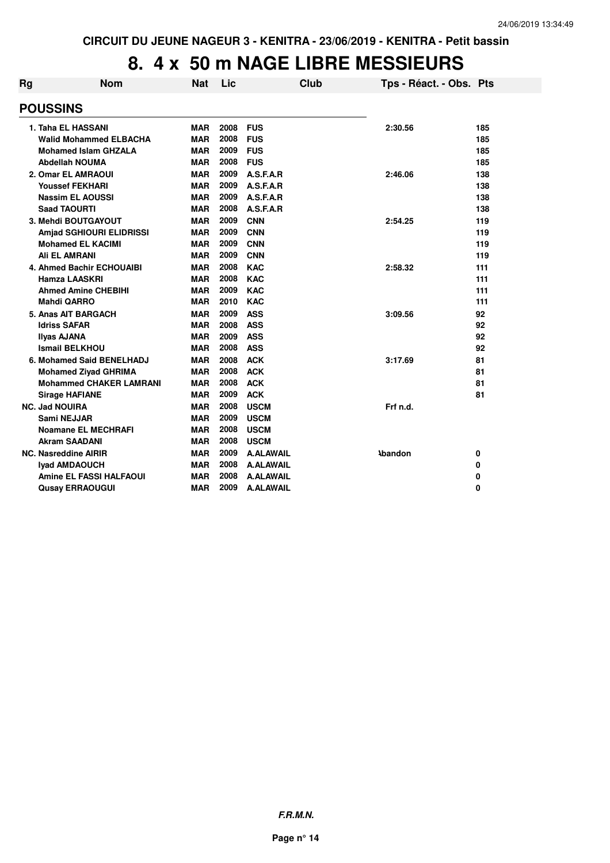# **8. 4 x 50 m NAGE LIBRE MESSIEURS**

| Rg | <b>Nom</b>                     | <b>Nat</b> | Lic  |                  | Club | Tps - Réact. - Obs. Pts |     |
|----|--------------------------------|------------|------|------------------|------|-------------------------|-----|
|    | <b>POUSSINS</b>                |            |      |                  |      |                         |     |
|    | 1. Taha EL HASSANI             | <b>MAR</b> | 2008 | <b>FUS</b>       |      | 2:30.56                 | 185 |
|    | <b>Walid Mohammed ELBACHA</b>  | <b>MAR</b> | 2008 | <b>FUS</b>       |      |                         | 185 |
|    | <b>Mohamed Islam GHZALA</b>    | <b>MAR</b> | 2009 | <b>FUS</b>       |      |                         | 185 |
|    | Abdellah NOUMA                 | <b>MAR</b> | 2008 | <b>FUS</b>       |      |                         | 185 |
|    | 2. Omar EL AMRAOUI             | <b>MAR</b> | 2009 | A.S.F.A.R        |      | 2:46.06                 | 138 |
|    | <b>Youssef FEKHARI</b>         | <b>MAR</b> | 2009 | A.S.F.A.R        |      |                         | 138 |
|    | <b>Nassim EL AOUSSI</b>        | <b>MAR</b> | 2009 | A.S.F.A.R        |      |                         | 138 |
|    | <b>Saad TAOURTI</b>            | <b>MAR</b> | 2008 | A.S.F.A.R        |      |                         | 138 |
|    | 3. Mehdi BOUTGAYOUT            | <b>MAR</b> | 2009 | <b>CNN</b>       |      | 2:54.25                 | 119 |
|    | Amjad SGHIOURI ELIDRISSI       | <b>MAR</b> | 2009 | <b>CNN</b>       |      |                         | 119 |
|    | <b>Mohamed EL KACIMI</b>       | <b>MAR</b> | 2009 | <b>CNN</b>       |      |                         | 119 |
|    | <b>Ali EL AMRANI</b>           | <b>MAR</b> | 2009 | <b>CNN</b>       |      |                         | 119 |
|    | 4. Ahmed Bachir ECHOUAIBI      | <b>MAR</b> | 2008 | <b>KAC</b>       |      | 2:58.32                 | 111 |
|    | <b>Hamza LAASKRI</b>           | <b>MAR</b> | 2008 | <b>KAC</b>       |      |                         | 111 |
|    | <b>Ahmed Amine CHEBIHI</b>     | <b>MAR</b> | 2009 | <b>KAC</b>       |      |                         | 111 |
|    | <b>Mahdi QARRO</b>             | <b>MAR</b> | 2010 | <b>KAC</b>       |      |                         | 111 |
|    | 5. Anas AIT BARGACH            | <b>MAR</b> | 2009 | <b>ASS</b>       |      | 3:09.56                 | 92  |
|    | <b>Idriss SAFAR</b>            | <b>MAR</b> | 2008 | <b>ASS</b>       |      |                         | 92  |
|    | <b>Ilyas AJANA</b>             | <b>MAR</b> | 2009 | <b>ASS</b>       |      |                         | 92  |
|    | <b>Ismail BELKHOU</b>          | <b>MAR</b> | 2008 | <b>ASS</b>       |      |                         | 92  |
|    | 6. Mohamed Said BENELHADJ      | <b>MAR</b> | 2008 | <b>ACK</b>       |      | 3:17.69                 | 81  |
|    | <b>Mohamed Ziyad GHRIMA</b>    | <b>MAR</b> | 2008 | <b>ACK</b>       |      |                         | 81  |
|    | <b>Mohammed CHAKER LAMRANI</b> | <b>MAR</b> | 2008 | <b>ACK</b>       |      |                         | 81  |
|    | <b>Sirage HAFIANE</b>          | <b>MAR</b> | 2009 | <b>ACK</b>       |      |                         | 81  |
|    | <b>NC. Jad NOUIRA</b>          | <b>MAR</b> | 2008 | <b>USCM</b>      |      | Frf n.d.                |     |
|    | <b>Sami NEJJAR</b>             | <b>MAR</b> | 2009 | <b>USCM</b>      |      |                         |     |
|    | <b>Noamane EL MECHRAFI</b>     | <b>MAR</b> | 2008 | <b>USCM</b>      |      |                         |     |
|    | <b>Akram SAADANI</b>           | <b>MAR</b> | 2008 | <b>USCM</b>      |      |                         |     |
|    | <b>NC. Nasreddine AIRIR</b>    | <b>MAR</b> | 2009 | <b>A.ALAWAIL</b> |      | <b>\bandon</b>          | 0   |
|    | <b>Iyad AMDAOUCH</b>           | <b>MAR</b> | 2008 | <b>A.ALAWAIL</b> |      |                         | 0   |
|    | <b>Amine EL FASSI HALFAOUI</b> | <b>MAR</b> | 2008 | <b>A.ALAWAIL</b> |      |                         | 0   |
|    | <b>Qusay ERRAOUGUI</b>         | <b>MAR</b> | 2009 | <b>A.ALAWAIL</b> |      |                         | 0   |
|    |                                |            |      |                  |      |                         |     |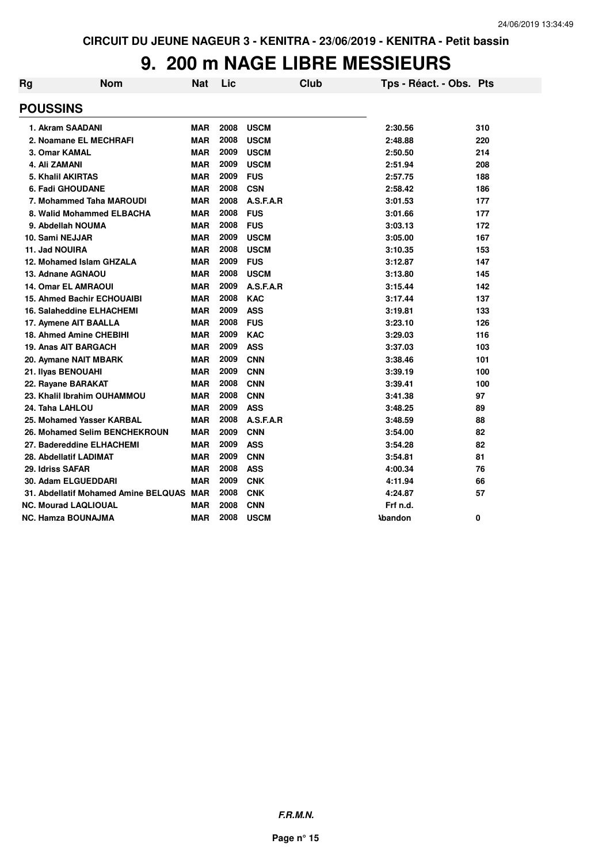# **9. 200 m NAGE LIBRE MESSIEURS**

| Rg | <b>Nom</b>                               | <b>Nat</b> | Lic  | <b>Club</b> | Tps - Réact. - Obs. Pts |     |
|----|------------------------------------------|------------|------|-------------|-------------------------|-----|
|    | <b>POUSSINS</b>                          |            |      |             |                         |     |
|    | 1. Akram SAADANI                         | <b>MAR</b> | 2008 | <b>USCM</b> | 2:30.56                 | 310 |
|    | 2. Noamane EL MECHRAFI                   | <b>MAR</b> | 2008 | <b>USCM</b> | 2:48.88                 | 220 |
|    | 3. Omar KAMAL                            | <b>MAR</b> | 2009 | <b>USCM</b> | 2:50.50                 | 214 |
|    | 4. Ali ZAMANI                            | <b>MAR</b> | 2009 | <b>USCM</b> | 2:51.94                 | 208 |
|    | 5. Khalil AKIRTAS                        | <b>MAR</b> | 2009 | <b>FUS</b>  | 2:57.75                 | 188 |
|    | 6. Fadi GHOUDANE                         | <b>MAR</b> | 2008 | <b>CSN</b>  | 2:58.42                 | 186 |
|    | 7. Mohammed Taha MAROUDI                 | <b>MAR</b> | 2008 | A.S.F.A.R   | 3:01.53                 | 177 |
|    | 8. Walid Mohammed ELBACHA                | <b>MAR</b> | 2008 | <b>FUS</b>  | 3:01.66                 | 177 |
|    | 9. Abdellah NOUMA                        | <b>MAR</b> | 2008 | <b>FUS</b>  | 3:03.13                 | 172 |
|    | 10. Sami NEJJAR                          | <b>MAR</b> | 2009 | <b>USCM</b> | 3:05.00                 | 167 |
|    | 11. Jad NOUIRA                           | <b>MAR</b> | 2008 | <b>USCM</b> | 3:10.35                 | 153 |
|    | 12. Mohamed Islam GHZALA                 | <b>MAR</b> | 2009 | <b>FUS</b>  | 3:12.87                 | 147 |
|    | 13. Adnane AGNAOU                        | <b>MAR</b> | 2008 | <b>USCM</b> | 3:13.80                 | 145 |
|    | <b>14. Omar EL AMRAOUI</b>               | <b>MAR</b> | 2009 | A.S.F.A.R   | 3:15.44                 | 142 |
|    | <b>15. Ahmed Bachir ECHOUAIBI</b>        | <b>MAR</b> | 2008 | <b>KAC</b>  | 3:17.44                 | 137 |
|    | <b>16. Salaheddine ELHACHEMI</b>         | <b>MAR</b> | 2009 | <b>ASS</b>  | 3:19.81                 | 133 |
|    | 17. Aymene AIT BAALLA                    | <b>MAR</b> | 2008 | <b>FUS</b>  | 3:23.10                 | 126 |
|    | <b>18. Ahmed Amine CHEBIHI</b>           | <b>MAR</b> | 2009 | <b>KAC</b>  | 3:29.03                 | 116 |
|    | 19. Anas AIT BARGACH                     | <b>MAR</b> | 2009 | <b>ASS</b>  | 3:37.03                 | 103 |
|    | 20. Aymane NAIT MBARK                    | <b>MAR</b> | 2009 | <b>CNN</b>  | 3:38.46                 | 101 |
|    | 21. Ilyas BENOUAHI                       | <b>MAR</b> | 2009 | <b>CNN</b>  | 3:39.19                 | 100 |
|    | 22. Rayane BARAKAT                       | <b>MAR</b> | 2008 | <b>CNN</b>  | 3:39.41                 | 100 |
|    | 23. Khalil Ibrahim OUHAMMOU              | <b>MAR</b> | 2008 | <b>CNN</b>  | 3:41.38                 | 97  |
|    | 24. Taha LAHLOU                          | <b>MAR</b> | 2009 | <b>ASS</b>  | 3:48.25                 | 89  |
|    | 25. Mohamed Yasser KARBAL                | <b>MAR</b> | 2008 | A.S.F.A.R   | 3:48.59                 | 88  |
|    | 26. Mohamed Selim BENCHEKROUN            | <b>MAR</b> | 2009 | <b>CNN</b>  | 3:54.00                 | 82  |
|    | 27. Badereddine ELHACHEMI                | <b>MAR</b> | 2009 | <b>ASS</b>  | 3:54.28                 | 82  |
|    | 28. Abdellatif LADIMAT                   | <b>MAR</b> | 2009 | <b>CNN</b>  | 3:54.81                 | 81  |
|    | 29. Idriss SAFAR                         | <b>MAR</b> | 2008 | <b>ASS</b>  | 4:00.34                 | 76  |
|    | 30. Adam ELGUEDDARI                      | <b>MAR</b> | 2009 | <b>CNK</b>  | 4:11.94                 | 66  |
|    | 31. Abdellatif Mohamed Amine BELQUAS MAR |            | 2008 | <b>CNK</b>  | 4:24.87                 | 57  |
|    | <b>NC. Mourad LAQLIOUAL</b>              | <b>MAR</b> | 2008 | <b>CNN</b>  | Frf n.d.                |     |
|    | NC. Hamza BOUNAJMA                       | <b>MAR</b> | 2008 | <b>USCM</b> | <b>\bandon</b>          | 0   |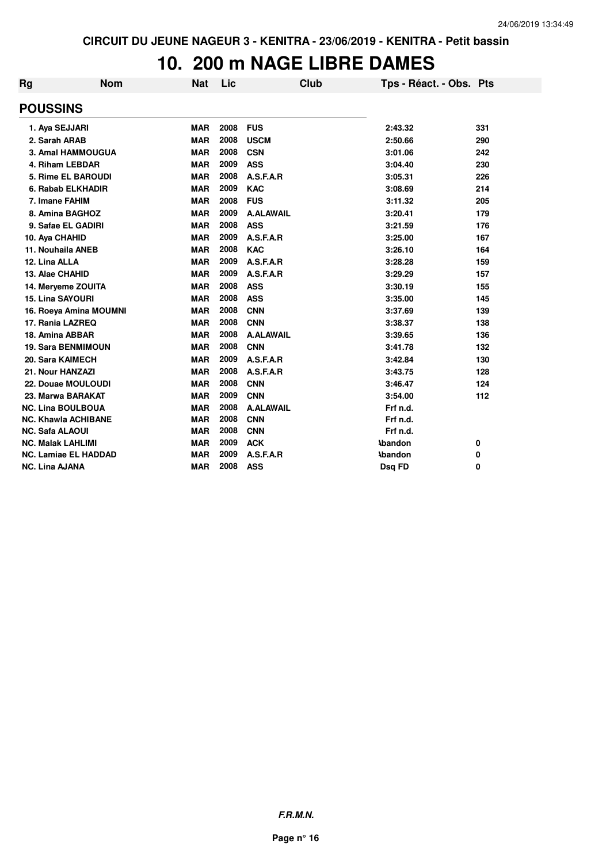## **10. 200 m NAGE LIBRE DAMES**

| Rg                     | <b>Nom</b>                  | <b>Nat</b> | Lic  | Club             | Tps - Réact. - Obs. Pts |     |
|------------------------|-----------------------------|------------|------|------------------|-------------------------|-----|
| <b>POUSSINS</b>        |                             |            |      |                  |                         |     |
|                        | 1. Aya SEJJARI              | <b>MAR</b> | 2008 | <b>FUS</b>       | 2:43.32                 | 331 |
| 2. Sarah ARAB          |                             | <b>MAR</b> | 2008 | <b>USCM</b>      | 2:50.66                 | 290 |
|                        | 3. Amal HAMMOUGUA           | <b>MAR</b> | 2008 | <b>CSN</b>       | 3:01.06                 | 242 |
|                        | 4. Riham LEBDAR             | <b>MAR</b> | 2009 | <b>ASS</b>       | 3:04.40                 | 230 |
|                        | 5. Rime EL BAROUDI          | <b>MAR</b> | 2008 | A.S.F.A.R        | 3:05.31                 | 226 |
|                        | 6. Rabab ELKHADIR           | <b>MAR</b> | 2009 | <b>KAC</b>       | 3:08.69                 | 214 |
|                        | 7. Imane FAHIM              | <b>MAR</b> | 2008 | <b>FUS</b>       | 3:11.32                 | 205 |
|                        | 8. Amina BAGHOZ             | <b>MAR</b> | 2009 | <b>A.ALAWAIL</b> | 3:20.41                 | 179 |
|                        | 9. Safae EL GADIRI          | <b>MAR</b> | 2008 | <b>ASS</b>       | 3:21.59                 | 176 |
| 10. Aya CHAHID         |                             | <b>MAR</b> | 2009 | A.S.F.A.R        | 3:25.00                 | 167 |
|                        | 11. Nouhaila ANEB           | <b>MAR</b> | 2008 | <b>KAC</b>       | 3:26.10                 | 164 |
| 12. Lina ALLA          |                             | <b>MAR</b> | 2009 | A.S.F.A.R        | 3:28.28                 | 159 |
| 13. Alae CHAHID        |                             | <b>MAR</b> | 2009 | A.S.F.A.R        | 3:29.29                 | 157 |
|                        | 14. Meryeme ZOUITA          | <b>MAR</b> | 2008 | <b>ASS</b>       | 3:30.19                 | 155 |
|                        | <b>15. Lina SAYOURI</b>     | <b>MAR</b> | 2008 | <b>ASS</b>       | 3:35.00                 | 145 |
|                        | 16. Roeya Amina MOUMNI      | <b>MAR</b> | 2008 | <b>CNN</b>       | 3:37.69                 | 139 |
|                        | 17. Rania LAZREQ            | <b>MAR</b> | 2008 | <b>CNN</b>       | 3:38.37                 | 138 |
|                        | 18. Amina ABBAR             | <b>MAR</b> | 2008 | <b>A.ALAWAIL</b> | 3:39.65                 | 136 |
|                        | <b>19. Sara BENMIMOUN</b>   | <b>MAR</b> | 2008 | <b>CNN</b>       | 3:41.78                 | 132 |
|                        | 20. Sara KAIMECH            | <b>MAR</b> | 2009 | A.S.F.A.R        | 3:42.84                 | 130 |
|                        | 21. Nour HANZAZI            | <b>MAR</b> | 2008 | A.S.F.A.R        | 3:43.75                 | 128 |
|                        | 22. Douae MOULOUDI          | <b>MAR</b> | 2008 | <b>CNN</b>       | 3:46.47                 | 124 |
|                        | 23. Marwa BARAKAT           | <b>MAR</b> | 2009 | <b>CNN</b>       | 3:54.00                 | 112 |
|                        | <b>NC. Lina BOULBOUA</b>    | <b>MAR</b> | 2008 | <b>A.ALAWAIL</b> | Frf n.d.                |     |
|                        | <b>NC. Khawla ACHIBANE</b>  | <b>MAR</b> | 2008 | <b>CNN</b>       | Frf n.d.                |     |
| <b>NC. Safa ALAOUI</b> |                             | <b>MAR</b> | 2008 | <b>CNN</b>       | Frf n.d.                |     |
|                        | <b>NC. Malak LAHLIMI</b>    | <b>MAR</b> | 2009 | <b>ACK</b>       | <b>Abandon</b>          | 0   |
|                        | <b>NC. Lamiae EL HADDAD</b> | <b>MAR</b> | 2009 | A.S.F.A.R        | <b>\bandon</b>          | 0   |
| <b>NC. Lina AJANA</b>  |                             | <b>MAR</b> | 2008 | <b>ASS</b>       | Dsg FD                  | 0   |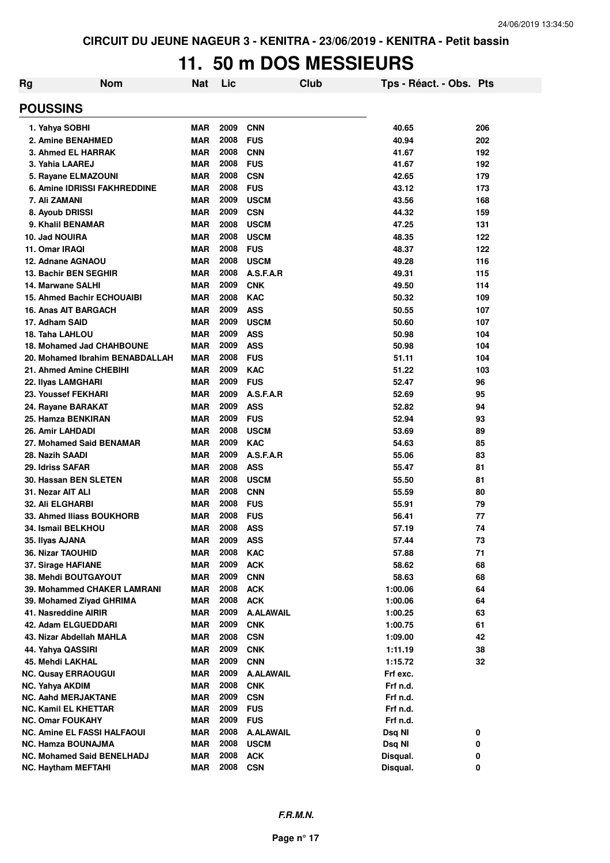# **11. 50 m DOS MESSIEURS**

| <b>Rg</b> | <b>Nom</b>                                      | Nat                      | Lic          | Club                           | Tps - Réact. - Obs. Pts |          |
|-----------|-------------------------------------------------|--------------------------|--------------|--------------------------------|-------------------------|----------|
|           | <b>POUSSINS</b>                                 |                          |              |                                |                         |          |
|           | 1. Yahya SOBHI                                  | <b>MAR</b>               | 2009         | <b>CNN</b>                     | 40.65                   | 206      |
|           | 2. Amine BENAHMED                               | <b>MAR</b>               | 2008         | <b>FUS</b>                     | 40.94                   | 202      |
|           | 3. Ahmed EL HARRAK                              | <b>MAR</b>               | 2008         | <b>CNN</b>                     | 41.67                   | 192      |
|           | 3. Yahia LAAREJ                                 | <b>MAR</b>               | 2008         | <b>FUS</b>                     | 41.67                   | 192      |
|           | 5. Rayane ELMAZOUNI                             | <b>MAR</b>               | 2008         | <b>CSN</b>                     | 42.65                   | 179      |
|           | 6. Amine IDRISSI FAKHREDDINE                    | <b>MAR</b>               | 2008         | <b>FUS</b>                     | 43.12                   | 173      |
|           | 7. Ali ZAMANI                                   | <b>MAR</b>               | 2009         | <b>USCM</b>                    | 43.56                   | 168      |
|           | 8. Ayoub DRISSI                                 | <b>MAR</b>               | 2009         | <b>CSN</b>                     | 44.32                   | 159      |
|           | 9. Khalil BENAMAR                               | <b>MAR</b>               | 2008         | <b>USCM</b>                    | 47.25                   | 131      |
|           | 10. Jad NOUIRA                                  | <b>MAR</b>               | 2008         | <b>USCM</b>                    | 48.35                   | 122      |
|           | 11. Omar IRAQI                                  | <b>MAR</b>               | 2008         | <b>FUS</b>                     | 48.37                   | 122      |
|           | 12. Adnane AGNAOU                               | <b>MAR</b>               | 2008         | <b>USCM</b>                    | 49.28                   | 116      |
|           | 13. Bachir BEN SEGHIR                           | <b>MAR</b>               | 2008         | A.S.F.A.R                      | 49.31                   | 115      |
|           | 14. Marwane SALHI                               | <b>MAR</b>               | 2009         | <b>CNK</b>                     | 49.50                   | 114      |
|           | <b>15. Ahmed Bachir ECHOUAIBI</b>               | <b>MAR</b>               | 2008         | <b>KAC</b>                     | 50.32                   | 109      |
|           | 16. Anas AIT BARGACH                            | <b>MAR</b>               | 2009         | <b>ASS</b>                     | 50.55                   | 107      |
|           | 17. Adham SAID                                  | <b>MAR</b>               | 2009         | <b>USCM</b>                    | 50.60                   | 107      |
|           | 18. Taha LAHLOU                                 | <b>MAR</b>               | 2009         | <b>ASS</b>                     | 50.98                   | 104      |
|           | <b>18. Mohamed Jad CHAHBOUNE</b>                | <b>MAR</b>               | 2009         | <b>ASS</b>                     | 50.98                   | 104      |
|           | 20. Mohamed Ibrahim BENABDALLAH                 | MAR                      | 2008         | <b>FUS</b>                     | 51.11                   | 104      |
|           | 21. Ahmed Amine CHEBIHI                         | MAR                      | 2009         | <b>KAC</b>                     | 51.22                   | 103      |
|           | 22. Ilyas LAMGHARI                              | MAR                      | 2009         | <b>FUS</b>                     | 52.47                   | 96       |
|           | 23. Youssef FEKHARI                             | MAR                      | 2009         | A.S.F.A.R                      | 52.69                   | 95       |
|           | 24. Rayane BARAKAT                              | MAR                      | 2009         | <b>ASS</b>                     | 52.82                   | 94       |
|           | 25. Hamza BENKIRAN                              | MAR                      | 2009         | <b>FUS</b>                     | 52.94                   | 93       |
|           | 26. Amir LAHDADI                                | MAR                      | 2008         | <b>USCM</b>                    | 53.69                   | 89       |
|           | 27. Mohamed Said BENAMAR                        | MAR                      | 2009         | <b>KAC</b>                     | 54.63                   | 85       |
|           | 28. Nazih SAADI                                 | MAR                      | 2009         | A.S.F.A.R                      | 55.06                   | 83       |
|           | 29. Idriss SAFAR                                | <b>MAR</b>               | 2008         | <b>ASS</b>                     | 55.47                   | 81       |
|           | 30. Hassan BEN SLETEN                           | <b>MAR</b>               | 2008         | <b>USCM</b>                    | 55.50                   | 81       |
|           | 31. Nezar AIT ALI                               | <b>MAR</b>               | 2008         | <b>CNN</b>                     | 55.59                   | 80       |
|           | <b>32. Ali ELGHARBI</b>                         | <b>MAR</b>               | 2008         | <b>FUS</b>                     | 55.91                   | 79       |
|           | 33. Ahmed Iliass BOUKHORB                       | <b>MAR</b>               | 2008         | <b>FUS</b>                     | 56.41                   | 77       |
|           | 34. Ismail BELKHOU                              | MAR                      | 2008         | <b>ASS</b>                     | 57.19                   | 74       |
|           | 35. Ilyas AJANA                                 | MAR                      | 2009         | ASS                            | 57.44                   | 73       |
|           | 36. Nizar TAOUHID                               | <b>MAR</b>               | 2008         | <b>KAC</b>                     | 57.88                   | 71       |
|           | 37. Sirage HAFIANE                              | <b>MAR</b>               | 2009         | <b>ACK</b>                     | 58.62                   | 68       |
|           | 38. Mehdi BOUTGAYOUT                            | <b>MAR</b>               | 2009         | <b>CNN</b>                     | 58.63                   | 68       |
|           | 39. Mohammed CHAKER LAMRANI                     | <b>MAR</b>               | 2008         | <b>ACK</b>                     | 1:00.06                 | 64       |
|           | 39. Mohamed Ziyad GHRIMA                        | <b>MAR</b>               | 2008<br>2009 | <b>ACK</b><br><b>A.ALAWAIL</b> | 1:00.06                 | 64       |
|           | 41. Nasreddine AIRIR                            | <b>MAR</b><br><b>MAR</b> | 2009         |                                | 1:00.25                 | 63       |
|           | 42. Adam ELGUEDDARI<br>43. Nizar Abdellah MAHLA | MAR                      | 2008         | <b>CNK</b><br><b>CSN</b>       | 1:00.75<br>1:09.00      | 61<br>42 |
|           |                                                 | <b>MAR</b>               | 2009         |                                |                         |          |
|           | 44. Yahya QASSIRI                               | <b>MAR</b>               | 2009         | <b>CNK</b>                     | 1:11.19                 | 38<br>32 |
|           | 45. Mehdi LAKHAL<br><b>NC. Qusay ERRAOUGUI</b>  | <b>MAR</b>               | 2009         | <b>CNN</b><br><b>A.ALAWAIL</b> | 1:15.72<br>Frf exc.     |          |
|           | <b>NC. Yahya AKDIM</b>                          | <b>MAR</b>               | 2008         | <b>CNK</b>                     | Frf n.d.                |          |
|           | <b>NC. Aahd MERJAKTANE</b>                      | <b>MAR</b>               | 2009         | <b>CSN</b>                     | Frf n.d.                |          |
|           | <b>NC. Kamil EL KHETTAR</b>                     | <b>MAR</b>               | 2009         | <b>FUS</b>                     | Frf n.d.                |          |
|           | <b>NC. Omar FOUKAHY</b>                         | <b>MAR</b>               | 2009         | <b>FUS</b>                     | Frf n.d.                |          |
|           | <b>NC. Amine EL FASSI HALFAOUI</b>              | MAR                      | 2008         | <b>A.ALAWAIL</b>               | Dsq NI                  | 0        |
|           | <b>NC. Hamza BOUNAJMA</b>                       | <b>MAR</b>               | 2008         | <b>USCM</b>                    | Dsq NI                  | 0        |
|           | <b>NC. Mohamed Said BENELHADJ</b>               | MAR                      | 2008         | <b>ACK</b>                     | Disqual.                | 0        |
|           | <b>NC. Haytham MEFTAHI</b>                      | <b>MAR</b>               | 2008         | <b>CSN</b>                     | Disqual.                | 0        |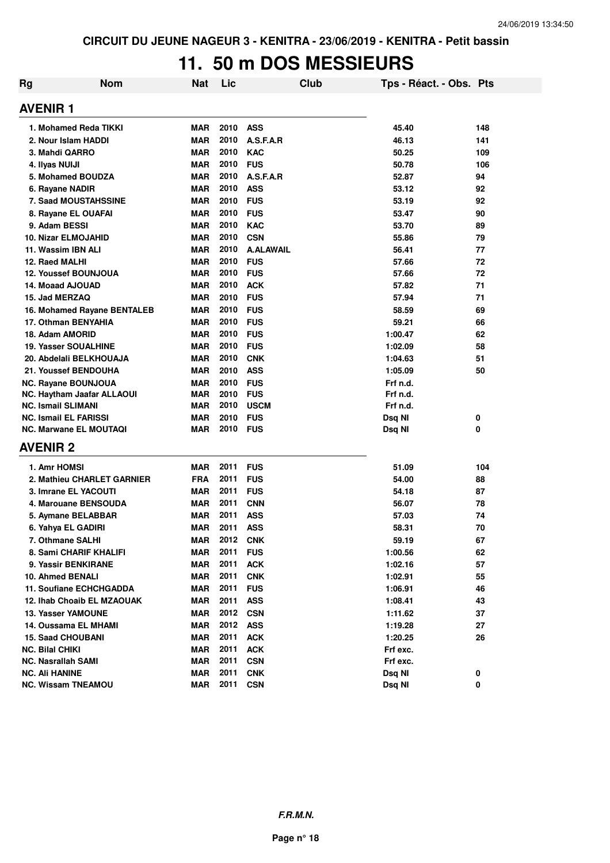# **11. 50 m DOS MESSIEURS**

| Rg | <b>Nom</b>                                          | <b>Nat</b>               | Lic  |                          | Club | Tps - Réact. - Obs. Pts |          |
|----|-----------------------------------------------------|--------------------------|------|--------------------------|------|-------------------------|----------|
|    | <b>AVENIR1</b>                                      |                          |      |                          |      |                         |          |
|    | 1. Mohamed Reda TIKKI                               | <b>MAR</b>               | 2010 | <b>ASS</b>               |      | 45.40                   | 148      |
|    | 2. Nour Islam HADDI                                 | <b>MAR</b>               | 2010 | A.S.F.A.R                |      | 46.13                   | 141      |
|    | 3. Mahdi QARRO                                      | <b>MAR</b>               | 2010 | <b>KAC</b>               |      | 50.25                   | 109      |
|    | 4. Ilyas NUIJI                                      | <b>MAR</b>               | 2010 | <b>FUS</b>               |      | 50.78                   | 106      |
|    | 5. Mohamed BOUDZA                                   | <b>MAR</b>               | 2010 | A.S.F.A.R                |      | 52.87                   | 94       |
|    | 6. Rayane NADIR                                     | <b>MAR</b>               | 2010 | <b>ASS</b>               |      | 53.12                   | 92       |
|    | 7. Saad MOUSTAHSSINE                                | <b>MAR</b>               | 2010 | <b>FUS</b>               |      | 53.19                   | 92       |
|    | 8. Rayane EL OUAFAI                                 | <b>MAR</b>               | 2010 | <b>FUS</b>               |      | 53.47                   | 90       |
|    | 9. Adam BESSI                                       | <b>MAR</b>               | 2010 | <b>KAC</b>               |      | 53.70                   | 89       |
|    | <b>10. Nizar ELMOJAHID</b>                          | <b>MAR</b>               | 2010 | <b>CSN</b>               |      | 55.86                   | 79       |
|    | 11. Wassim IBN ALI                                  | <b>MAR</b>               | 2010 | <b>A.ALAWAIL</b>         |      | 56.41                   | 77       |
|    | 12. Raed MALHI                                      | <b>MAR</b>               | 2010 | <b>FUS</b>               |      | 57.66                   | 72       |
|    | <b>12. Youssef BOUNJOUA</b>                         | <b>MAR</b>               | 2010 | <b>FUS</b>               |      | 57.66                   | 72       |
|    | 14. Moaad AJOUAD                                    | <b>MAR</b>               | 2010 | <b>ACK</b>               |      | 57.82                   | 71       |
|    | 15. Jad MERZAQ                                      | <b>MAR</b>               | 2010 | <b>FUS</b>               |      | 57.94                   | 71       |
|    | 16. Mohamed Rayane BENTALEB                         | <b>MAR</b>               | 2010 | <b>FUS</b>               |      | 58.59                   | 69       |
|    | 17. Othman BENYAHIA                                 | <b>MAR</b>               | 2010 | <b>FUS</b>               |      | 59.21                   | 66       |
|    | 18. Adam AMORID                                     | <b>MAR</b>               | 2010 | <b>FUS</b>               |      | 1:00.47                 | 62       |
|    | <b>19. Yasser SOUALHINE</b>                         | <b>MAR</b>               | 2010 | <b>FUS</b>               |      | 1:02.09                 | 58       |
|    | 20. Abdelali BELKHOUAJA                             | <b>MAR</b>               | 2010 | <b>CNK</b>               |      | 1:04.63                 | 51       |
|    | 21. Youssef BENDOUHA                                | <b>MAR</b>               | 2010 | <b>ASS</b>               |      | 1:05.09                 | 50       |
|    | <b>NC. Rayane BOUNJOUA</b>                          | <b>MAR</b>               | 2010 | <b>FUS</b>               |      | Frf n.d.                |          |
|    | NC. Haytham Jaafar ALLAOUI                          | <b>MAR</b>               | 2010 | <b>FUS</b>               |      | Frf n.d.                |          |
|    | <b>NC. Ismail SLIMANI</b>                           | <b>MAR</b>               | 2010 | <b>USCM</b>              |      | Frf n.d.                |          |
|    | <b>NC. Ismail EL FARISSI</b>                        | <b>MAR</b>               | 2010 | <b>FUS</b>               |      | Dsq NI                  | 0        |
|    | <b>NC. Marwane EL MOUTAQI</b>                       | <b>MAR</b>               | 2010 | <b>FUS</b>               |      | Dsq NI                  | 0        |
|    | <b>AVENIR 2</b>                                     |                          |      |                          |      |                         |          |
|    | 1. Amr HOMSI                                        | <b>MAR</b>               | 2011 | <b>FUS</b>               |      | 51.09                   | 104      |
|    | 2. Mathieu CHARLET GARNIER                          | <b>FRA</b>               | 2011 | <b>FUS</b>               |      | 54.00                   | 88       |
|    | 3. Imrane EL YACOUTI                                | <b>MAR</b>               | 2011 | <b>FUS</b>               |      | 54.18                   | 87       |
|    | 4. Marouane BENSOUDA                                | <b>MAR</b>               | 2011 | <b>CNN</b>               |      | 56.07                   | 78       |
|    | 5. Aymane BELABBAR                                  | <b>MAR</b>               | 2011 | <b>ASS</b>               |      | 57.03                   | 74       |
|    | 6. Yahya EL GADIRI                                  | <b>MAR</b>               | 2011 | <b>ASS</b>               |      | 58.31                   | 70       |
|    | 7. Othmane SALHI                                    | <b>MAR</b>               | 2012 | <b>CNK</b>               |      | 59.19                   | 67       |
|    | 8. Sami CHARIF KHALIFI                              | <b>MAR</b>               | 2011 | <b>FUS</b>               |      | 1:00.56                 | 62       |
|    | 9. Yassir BENKIRANE                                 | <b>MAR</b>               | 2011 | <b>ACK</b>               |      | 1:02.16                 | 57       |
|    | 10. Ahmed BENALI                                    | <b>MAR</b>               | 2011 | <b>CNK</b>               |      | 1:02.91                 | 55       |
|    | 11. Soufiane ECHCHGADDA                             | <b>MAR</b>               | 2011 | <b>FUS</b>               |      | 1:06.91                 | 46       |
|    | 12. Ihab Choaib EL MZAOUAK                          | <b>MAR</b>               | 2011 | <b>ASS</b>               |      | 1:08.41                 | 43       |
|    | <b>13. Yasser YAMOUNE</b>                           | <b>MAR</b>               | 2012 | <b>CSN</b>               |      | 1:11.62                 | 37       |
|    |                                                     |                          | 2012 |                          |      | 1:19.28                 |          |
|    | 14. Oussama EL MHAMI<br><b>15. Saad CHOUBANI</b>    | <b>MAR</b><br><b>MAR</b> | 2011 | <b>ASS</b><br><b>ACK</b> |      | 1:20.25                 | 27<br>26 |
|    |                                                     | <b>MAR</b>               | 2011 |                          |      |                         |          |
|    | <b>NC. Bilal CHIKI</b><br><b>NC. Nasrallah SAMI</b> | <b>MAR</b>               | 2011 | <b>ACK</b><br><b>CSN</b> |      | Frf exc.<br>Frf exc.    |          |
|    | <b>NC. Ali HANINE</b>                               | <b>MAR</b>               | 2011 | <b>CNK</b>               |      |                         |          |
|    | <b>NC. Wissam TNEAMOU</b>                           | MAR                      | 2011 | <b>CSN</b>               |      | Dsq NI                  | 0<br>0   |
|    |                                                     |                          |      |                          |      | Dsq NI                  |          |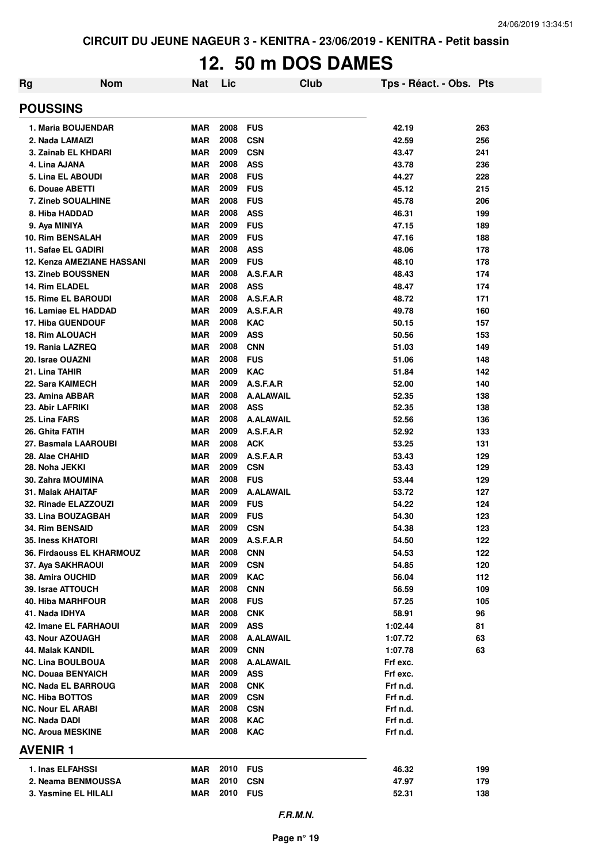# **12. 50 m DOS DAMES**

| Rg                                               | <b>Nom</b><br><b>Nat</b> | Lic          | <b>Club</b>                   | Tps - Réact. - Obs. Pts |            |
|--------------------------------------------------|--------------------------|--------------|-------------------------------|-------------------------|------------|
| <b>POUSSINS</b>                                  |                          |              |                               |                         |            |
| 1. Maria BOUJENDAR                               | <b>MAR</b>               | 2008         | <b>FUS</b>                    | 42.19                   | 263        |
| 2. Nada LAMAIZI                                  | <b>MAR</b>               | 2008         | <b>CSN</b>                    | 42.59                   | 256        |
| 3. Zainab EL KHDARI                              | <b>MAR</b>               | 2009         | <b>CSN</b>                    | 43.47                   | 241        |
| 4. Lina AJANA                                    | <b>MAR</b>               | 2008         | <b>ASS</b>                    | 43.78                   | 236        |
| 5. Lina EL ABOUDI                                | <b>MAR</b>               | 2008         | <b>FUS</b>                    | 44.27                   | 228        |
| 6. Douae ABETTI                                  | <b>MAR</b>               | 2009         | <b>FUS</b>                    | 45.12                   | 215        |
| 7. Zineb SOUALHINE                               | <b>MAR</b>               | 2008         | <b>FUS</b>                    | 45.78                   | 206        |
| 8. Hiba HADDAD                                   | <b>MAR</b>               | 2008         | <b>ASS</b>                    | 46.31                   | 199        |
| 9. Aya MINIYA                                    | <b>MAR</b>               | 2009         | <b>FUS</b>                    | 47.15                   | 189        |
| <b>10. Rim BENSALAH</b>                          | <b>MAR</b>               | 2009         | <b>FUS</b>                    | 47.16                   | 188        |
| 11. Safae EL GADIRI                              | <b>MAR</b>               | 2008         | <b>ASS</b>                    | 48.06                   | 178        |
| <b>12. Kenza AMEZIANE HASSANI</b>                | <b>MAR</b>               | 2009         | <b>FUS</b>                    | 48.10                   | 178        |
| <b>13. Zineb BOUSSNEN</b>                        | <b>MAR</b>               | 2008         | A.S.F.A.R                     | 48.43                   | 174        |
| 14. Rim ELADEL                                   | <b>MAR</b>               | 2008         | <b>ASS</b>                    | 48.47                   | 174        |
| <b>15. Rime EL BAROUDI</b>                       | <b>MAR</b>               | 2008         | A.S.F.A.R                     | 48.72                   | 171        |
| 16. Lamiae EL HADDAD                             | <b>MAR</b>               | 2009         | A.S.F.A.R                     | 49.78                   | 160        |
| <b>17. Hiba GUENDOUF</b>                         | <b>MAR</b>               | 2008         | <b>KAC</b>                    | 50.15                   | 157        |
| <b>18. Rim ALOUACH</b>                           | <b>MAR</b>               | 2009         | <b>ASS</b>                    | 50.56                   | 153        |
| 19. Rania LAZREQ                                 | <b>MAR</b>               | 2008         | <b>CNN</b>                    | 51.03                   | 149        |
| 20. Israe OUAZNI                                 | <b>MAR</b>               | 2008         | <b>FUS</b>                    | 51.06                   | 148        |
| 21. Lina TAHIR                                   | <b>MAR</b>               | 2009         | <b>KAC</b>                    | 51.84                   | 142        |
| 22. Sara KAIMECH                                 | <b>MAR</b>               | 2009         | A.S.F.A.R                     | 52.00                   | 140        |
| 23. Amina ABBAR                                  | <b>MAR</b>               | 2008         | <b>A.ALAWAIL</b>              | 52.35                   | 138        |
| 23. Abir LAFRIKI                                 | <b>MAR</b>               | 2008<br>2008 | <b>ASS</b>                    | 52.35                   | 138        |
| 25. Lina FARS                                    | <b>MAR</b>               | 2009         | <b>A.ALAWAIL</b><br>A.S.F.A.R | 52.56                   | 136        |
| 26. Ghita FATIH<br>27. Basmala LAAROUBI          | <b>MAR</b><br><b>MAR</b> | 2008         | <b>ACK</b>                    | 52.92<br>53.25          | 133<br>131 |
| 28. Alae CHAHID                                  | <b>MAR</b>               | 2009         | A.S.F.A.R                     | 53.43                   | 129        |
| 28. Noha JEKKI                                   | <b>MAR</b>               | 2009         | <b>CSN</b>                    | 53.43                   | 129        |
| 30. Zahra MOUMINA                                | <b>MAR</b>               | 2008         | <b>FUS</b>                    | 53.44                   | 129        |
| 31. Malak AHAITAF                                | <b>MAR</b>               | 2009         | <b>A.ALAWAIL</b>              | 53.72                   | 127        |
| 32. Rinade ELAZZOUZI                             | <b>MAR</b>               | 2009         | <b>FUS</b>                    | 54.22                   | 124        |
| 33. Lina BOUZAGBAH                               | <b>MAR</b>               | 2009         | <b>FUS</b>                    | 54.30                   | 123        |
| <b>34. Rim BENSAID</b>                           | <b>MAR</b>               | 2009         | <b>CSN</b>                    | 54.38                   | 123        |
| 35. Iness KHATORI                                | MAR                      | 2009         | A.S.F.A.R                     | 54.50                   | 122        |
| 36. Firdaouss EL KHARMOUZ                        | <b>MAR</b>               | 2008         | <b>CNN</b>                    | 54.53                   | 122        |
| 37. Aya SAKHRAOUI                                | MAR                      | 2009         | <b>CSN</b>                    | 54.85                   | 120        |
| 38. Amira OUCHID                                 | <b>MAR</b>               | 2009         | <b>KAC</b>                    | 56.04                   | 112        |
| 39. Israe ATTOUCH                                | <b>MAR</b>               | 2008         | <b>CNN</b>                    | 56.59                   | 109        |
| 40. Hiba MARHFOUR                                | <b>MAR</b>               | 2008         | <b>FUS</b>                    | 57.25                   | 105        |
| 41. Nada IDHYA                                   | <b>MAR</b>               | 2008         | <b>CNK</b>                    | 58.91                   | 96         |
| 42. Imane EL FARHAOUI                            | MAR                      | 2009         | <b>ASS</b>                    | 1:02.44                 | 81         |
| 43. Nour AZOUAGH                                 | <b>MAR</b>               | 2008         | A.ALAWAIL                     | 1:07.72                 | 63         |
| 44. Malak KANDIL                                 | <b>MAR</b>               | 2009         | <b>CNN</b>                    | 1:07.78                 | 63         |
| <b>NC. Lina BOULBOUA</b>                         | <b>MAR</b>               | 2008         | <b>A.ALAWAIL</b>              | Frf exc.                |            |
| <b>NC. Douaa BENYAICH</b>                        | <b>MAR</b>               | 2009         | <b>ASS</b>                    | Frf exc.                |            |
| <b>NC. Nada EL BARROUG</b>                       | <b>MAR</b>               | 2008         | <b>CNK</b>                    | Frf n.d.                |            |
| <b>NC. Hiba BOTTOS</b>                           | <b>MAR</b>               | 2009         | <b>CSN</b>                    | Frf n.d.                |            |
| <b>NC. Nour EL ARABI</b>                         | <b>MAR</b>               | 2008         | <b>CSN</b>                    | Frf n.d.                |            |
| <b>NC. Nada DADI</b><br><b>NC. Aroua MESKINE</b> | MAR                      | 2008<br>2008 | <b>KAC</b>                    | Frf n.d.                |            |
| <b>AVENIR1</b>                                   | MAR                      |              | <b>KAC</b>                    | Frf n.d.                |            |
|                                                  |                          |              |                               |                         |            |
| 1. Inas ELFAHSSI                                 | MAR                      | 2010 FUS     |                               | 46.32                   | 199        |
| 2. Neama BENMOUSSA                               | MAR                      | 2010         | <b>CSN</b>                    | 47.97                   | 179        |
| 3. Yasmine EL HILALI                             | MAR                      | 2010         | <b>FUS</b>                    | 52.31                   | 138        |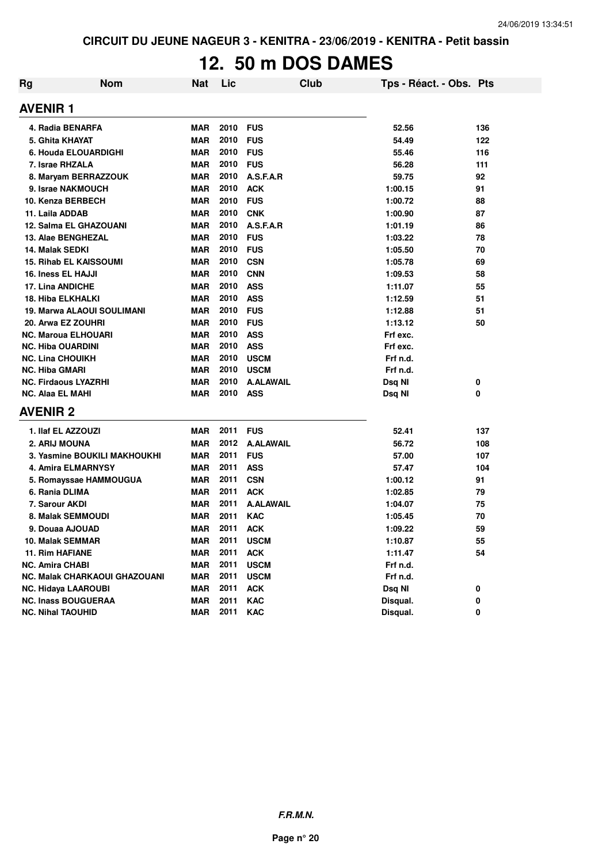# **12. 50 m DOS DAMES**

| Rg                            | <b>Nom</b>                           | <b>Nat</b> | Lic  |                  | <b>Club</b> | Tps - Réact. - Obs. Pts |     |
|-------------------------------|--------------------------------------|------------|------|------------------|-------------|-------------------------|-----|
| <b>AVENIR1</b>                |                                      |            |      |                  |             |                         |     |
| 4. Radia BENARFA              |                                      | <b>MAR</b> | 2010 | <b>FUS</b>       |             | 52.56                   | 136 |
| 5. Ghita KHAYAT               |                                      | <b>MAR</b> | 2010 | <b>FUS</b>       |             | 54.49                   | 122 |
| 6. Houda ELOUARDIGHI          |                                      | <b>MAR</b> | 2010 | <b>FUS</b>       |             | 55.46                   | 116 |
| 7. Israe RHZALA               |                                      | <b>MAR</b> | 2010 | <b>FUS</b>       |             | 56.28                   | 111 |
|                               | 8. Maryam BERRAZZOUK                 | <b>MAR</b> | 2010 | A.S.F.A.R        |             | 59.75                   | 92  |
| 9. Israe NAKMOUCH             |                                      | <b>MAR</b> | 2010 | <b>ACK</b>       |             | 1:00.15                 | 91  |
| 10. Kenza BERBECH             |                                      | <b>MAR</b> | 2010 | <b>FUS</b>       |             | 1:00.72                 | 88  |
| 11. Laila ADDAB               |                                      | <b>MAR</b> | 2010 | <b>CNK</b>       |             | 1:00.90                 | 87  |
| <b>12. Salma EL GHAZOUANI</b> |                                      | <b>MAR</b> | 2010 | A.S.F.A.R        |             | 1:01.19                 | 86  |
| 13. Alae BENGHEZAL            |                                      | <b>MAR</b> | 2010 | <b>FUS</b>       |             | 1:03.22                 | 78  |
| 14. Malak SEDKI               |                                      | <b>MAR</b> | 2010 | <b>FUS</b>       |             | 1:05.50                 | 70  |
| <b>15. Rihab EL KAISSOUMI</b> |                                      | <b>MAR</b> | 2010 | <b>CSN</b>       |             | 1:05.78                 | 69  |
| 16. Iness EL HAJJI            |                                      | <b>MAR</b> | 2010 | <b>CNN</b>       |             | 1:09.53                 | 58  |
| 17. Lina ANDICHE              |                                      | <b>MAR</b> | 2010 | <b>ASS</b>       |             | 1:11.07                 | 55  |
| <b>18. Hiba ELKHALKI</b>      |                                      | <b>MAR</b> | 2010 | <b>ASS</b>       |             | 1:12.59                 | 51  |
|                               | <b>19. Marwa ALAOUI SOULIMANI</b>    | <b>MAR</b> | 2010 | <b>FUS</b>       |             | 1:12.88                 | 51  |
| 20. Arwa EZ ZOUHRI            |                                      | <b>MAR</b> | 2010 | <b>FUS</b>       |             | 1:13.12                 | 50  |
| <b>NC. Maroua ELHOUARI</b>    |                                      | <b>MAR</b> | 2010 | <b>ASS</b>       |             | Frf exc.                |     |
| <b>NC. Hiba OUARDINI</b>      |                                      | <b>MAR</b> | 2010 | <b>ASS</b>       |             | Frf exc.                |     |
| <b>NC. Lina CHOUIKH</b>       |                                      | MAR        | 2010 | <b>USCM</b>      |             | Frf n.d.                |     |
| <b>NC. Hiba GMARI</b>         |                                      | <b>MAR</b> | 2010 | <b>USCM</b>      |             | Frf n.d.                |     |
| <b>NC. Firdaous LYAZRHI</b>   |                                      | <b>MAR</b> | 2010 | <b>A.ALAWAIL</b> |             | Dsq NI                  | 0   |
| <b>NC. Alaa EL MAHI</b>       |                                      | <b>MAR</b> | 2010 | <b>ASS</b>       |             | Dsq NI                  | 0   |
| <b>AVENIR 2</b>               |                                      |            |      |                  |             |                         |     |
| 1. Ilaf EL AZZOUZI            |                                      | MAR        | 2011 | <b>FUS</b>       |             | 52.41                   | 137 |
| 2. ARIJ MOUNA                 |                                      | <b>MAR</b> | 2012 | <b>A.ALAWAIL</b> |             | 56.72                   | 108 |
|                               | 3. Yasmine BOUKILI MAKHOUKHI         | <b>MAR</b> | 2011 | <b>FUS</b>       |             | 57.00                   | 107 |
| 4. Amira ELMARNYSY            |                                      | <b>MAR</b> | 2011 | <b>ASS</b>       |             | 57.47                   | 104 |
|                               | 5. Romayssae HAMMOUGUA               | <b>MAR</b> | 2011 | <b>CSN</b>       |             | 1:00.12                 | 91  |
| 6. Rania DLIMA                |                                      | <b>MAR</b> | 2011 | <b>ACK</b>       |             | 1:02.85                 | 79  |
| 7. Sarour AKDI                |                                      | MAR        | 2011 | <b>A.ALAWAIL</b> |             | 1:04.07                 | 75  |
| <b>8. Malak SEMMOUDI</b>      |                                      | MAR        | 2011 | <b>KAC</b>       |             | 1:05.45                 | 70  |
| 9. Douaa AJOUAD               |                                      | <b>MAR</b> | 2011 | <b>ACK</b>       |             | 1:09.22                 | 59  |
| 10. Malak SEMMAR              |                                      | MAR        | 2011 | <b>USCM</b>      |             | 1:10.87                 | 55  |
| <b>11. Rim HAFIANE</b>        |                                      | <b>MAR</b> | 2011 | <b>ACK</b>       |             | 1:11.47                 | 54  |
| <b>NC. Amira CHABI</b>        |                                      | <b>MAR</b> | 2011 | <b>USCM</b>      |             | Frf n.d.                |     |
|                               | <b>NC. Malak CHARKAOUI GHAZOUANI</b> | <b>MAR</b> | 2011 | <b>USCM</b>      |             | Frf n.d.                |     |
| <b>NC. Hidaya LAAROUBI</b>    |                                      | <b>MAR</b> | 2011 | <b>ACK</b>       |             | Dsq NI                  | 0   |
| <b>NC. Inass BOUGUERAA</b>    |                                      | <b>MAR</b> | 2011 | <b>KAC</b>       |             | Disqual.                | 0   |
| <b>NC. Nihal TAOUHID</b>      |                                      | <b>MAR</b> | 2011 | <b>KAC</b>       |             | Disqual.                | 0   |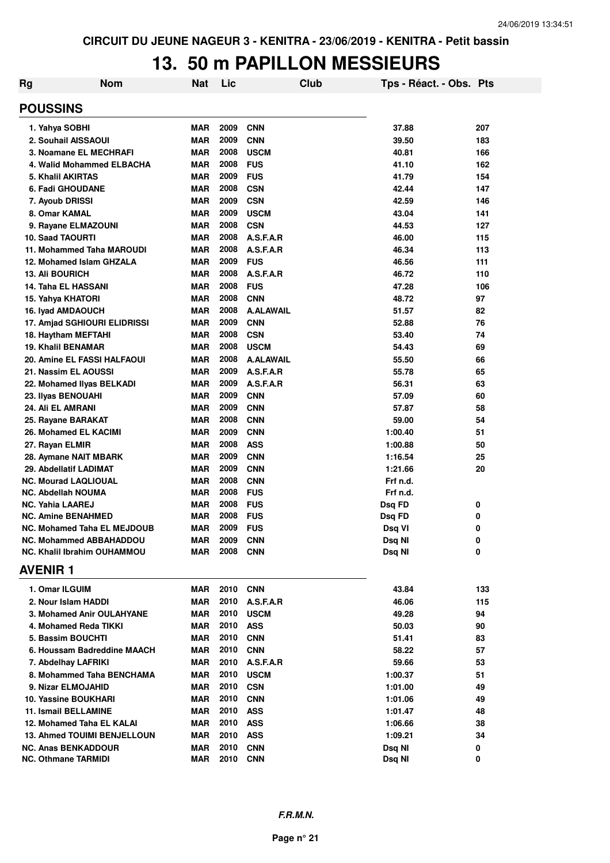# **13. 50 m PAPILLON MESSIEURS**

| Rg             | <b>Nom</b>                         | <b>Nat</b> | Lic  |                  | <b>Club</b> | Tps - Réact. - Obs. Pts |     |
|----------------|------------------------------------|------------|------|------------------|-------------|-------------------------|-----|
|                | <b>POUSSINS</b>                    |            |      |                  |             |                         |     |
|                | 1. Yahya SOBHI                     | <b>MAR</b> | 2009 | <b>CNN</b>       |             | 37.88                   | 207 |
|                | 2. Souhail AISSAOUI                | <b>MAR</b> | 2009 | <b>CNN</b>       |             | 39.50                   | 183 |
|                | 3. Noamane EL MECHRAFI             | <b>MAR</b> | 2008 | <b>USCM</b>      |             | 40.81                   | 166 |
|                | 4. Walid Mohammed ELBACHA          | MAR        | 2008 | <b>FUS</b>       |             | 41.10                   | 162 |
|                | 5. Khalil AKIRTAS                  | <b>MAR</b> | 2009 | <b>FUS</b>       |             | 41.79                   | 154 |
|                | 6. Fadi GHOUDANE                   | <b>MAR</b> | 2008 | <b>CSN</b>       |             | 42.44                   | 147 |
|                | 7. Ayoub DRISSI                    | <b>MAR</b> | 2009 | <b>CSN</b>       |             | 42.59                   | 146 |
|                | 8. Omar KAMAL                      | <b>MAR</b> | 2009 | <b>USCM</b>      |             | 43.04                   | 141 |
|                | 9. Rayane ELMAZOUNI                | <b>MAR</b> | 2008 | <b>CSN</b>       |             | 44.53                   | 127 |
|                | <b>10. Saad TAOURTI</b>            | <b>MAR</b> | 2008 | A.S.F.A.R        |             | 46.00                   | 115 |
|                | 11. Mohammed Taha MAROUDI          | <b>MAR</b> | 2008 | A.S.F.A.R        |             | 46.34                   | 113 |
|                | 12. Mohamed Islam GHZALA           | <b>MAR</b> | 2009 | <b>FUS</b>       |             | 46.56                   | 111 |
|                | <b>13. Ali BOURICH</b>             | <b>MAR</b> | 2008 | A.S.F.A.R        |             | 46.72                   | 110 |
|                | <b>14. Taha EL HASSANI</b>         | <b>MAR</b> | 2008 | <b>FUS</b>       |             | 47.28                   | 106 |
|                | 15. Yahya KHATORI                  | <b>MAR</b> | 2008 | <b>CNN</b>       |             | 48.72                   | 97  |
|                | 16. Iyad AMDAOUCH                  | <b>MAR</b> | 2008 | <b>A.ALAWAIL</b> |             | 51.57                   | 82  |
|                | 17. Amjad SGHIOURI ELIDRISSI       | MAR        | 2009 | <b>CNN</b>       |             | 52.88                   | 76  |
|                | 18. Haytham MEFTAHI                | <b>MAR</b> | 2008 | <b>CSN</b>       |             | 53.40                   | 74  |
|                | <b>19. Khalil BENAMAR</b>          | MAR        | 2008 | <b>USCM</b>      |             | 54.43                   | 69  |
|                | 20. Amine EL FASSI HALFAOUI        | MAR        | 2008 | <b>A.ALAWAIL</b> |             | 55.50                   | 66  |
|                | 21. Nassim EL AOUSSI               | MAR        | 2009 | A.S.F.A.R        |             | 55.78                   | 65  |
|                | 22. Mohamed Ilyas BELKADI          | MAR        | 2009 | A.S.F.A.R        |             | 56.31                   | 63  |
|                | 23. Ilyas BENOUAHI                 | <b>MAR</b> | 2009 | <b>CNN</b>       |             | 57.09                   | 60  |
|                | 24. Ali EL AMRANI                  | MAR        | 2009 | <b>CNN</b>       |             | 57.87                   | 58  |
|                | 25. Rayane BARAKAT                 | <b>MAR</b> | 2008 | <b>CNN</b>       |             | 59.00                   | 54  |
|                | 26. Mohamed EL KACIMI              | <b>MAR</b> | 2009 | <b>CNN</b>       |             | 1:00.40                 | 51  |
|                | 27. Rayan ELMIR                    | <b>MAR</b> | 2008 | <b>ASS</b>       |             | 1:00.88                 | 50  |
|                | 28. Aymane NAIT MBARK              | <b>MAR</b> | 2009 | <b>CNN</b>       |             | 1:16.54                 | 25  |
|                | 29. Abdellatif LADIMAT             | <b>MAR</b> | 2009 | <b>CNN</b>       |             | 1:21.66                 | 20  |
|                | <b>NC. Mourad LAQLIOUAL</b>        | <b>MAR</b> | 2008 | <b>CNN</b>       |             | Frf n.d.                |     |
|                | <b>NC. Abdellah NOUMA</b>          | <b>MAR</b> | 2008 | <b>FUS</b>       |             | Frf n.d.                |     |
|                | <b>NC. Yahia LAAREJ</b>            | <b>MAR</b> | 2008 | <b>FUS</b>       |             | Dsq FD                  | 0   |
|                | <b>NC. Amine BENAHMED</b>          | MAR        | 2008 | <b>FUS</b>       |             | Dsq FD                  | 0   |
|                | <b>NC. Mohamed Taha EL MEJDOUB</b> | MAR        | 2009 | <b>FUS</b>       |             | Dsq VI                  | 0   |
|                | <b>NC. Mohammed ABBAHADDOU</b>     | MAR        | 2009 | <b>CNN</b>       |             | Dsq NI                  | 0   |
| <b>AVENIR1</b> | <b>NC. Khalil Ibrahim OUHAMMOU</b> | MAR        | 2008 | <b>CNN</b>       |             | Dsq NI                  | 0   |
|                |                                    |            |      |                  |             |                         |     |
|                | 1. Omar ILGUIM                     | MAR        | 2010 | <b>CNN</b>       |             | 43.84                   | 133 |
|                | 2. Nour Islam HADDI                | MAR        | 2010 | A.S.F.A.R        |             | 46.06                   | 115 |
|                | 3. Mohamed Anir OULAHYANE          | <b>MAR</b> | 2010 | <b>USCM</b>      |             | 49.28                   | 94  |
|                | 4. Mohamed Reda TIKKI              | MAR        | 2010 | <b>ASS</b>       |             | 50.03                   | 90  |
|                | 5. Bassim BOUCHTI                  | MAR        | 2010 | <b>CNN</b>       |             | 51.41                   | 83  |
|                | 6. Houssam Badreddine MAACH        | MAR        | 2010 | <b>CNN</b>       |             | 58.22                   | 57  |
|                | 7. Abdelhay LAFRIKI                | MAR        | 2010 | A.S.F.A.R        |             | 59.66                   | 53  |
|                | 8. Mohammed Taha BENCHAMA          | MAR        | 2010 | <b>USCM</b>      |             | 1:00.37                 | 51  |
|                | 9. Nizar ELMOJAHID                 | MAR        | 2010 | <b>CSN</b>       |             | 1:01.00                 | 49  |
|                | 10. Yassine BOUKHARI               | MAR        | 2010 | <b>CNN</b>       |             | 1:01.06                 | 49  |
|                | <b>11. Ismail BELLAMINE</b>        | MAR        | 2010 | <b>ASS</b>       |             | 1:01.47                 | 48  |
|                | 12. Mohamed Taha EL KALAI          | MAR        | 2010 | <b>ASS</b>       |             | 1:06.66                 | 38  |
|                | <b>13. Ahmed TOUIMI BENJELLOUN</b> | <b>MAR</b> | 2010 | <b>ASS</b>       |             | 1:09.21                 | 34  |
|                | <b>NC. Anas BENKADDOUR</b>         | MAR        | 2010 | <b>CNN</b>       |             | Dsq NI                  | 0   |
|                | <b>NC. Othmane TARMIDI</b>         | <b>MAR</b> | 2010 | <b>CNN</b>       |             | Dsq NI                  | 0   |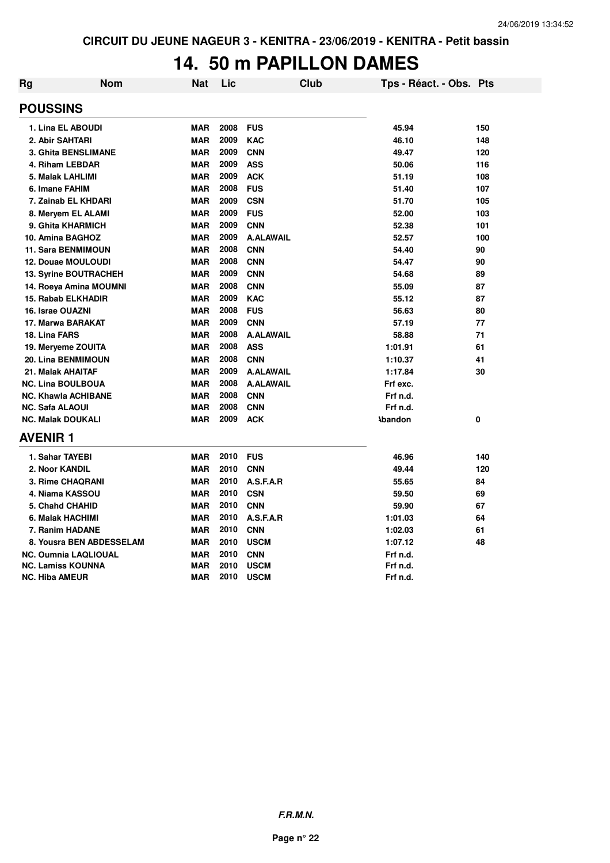## **14. 50 m PAPILLON DAMES**

| <b>Rg</b> | Nom                          | Nat        | Lic  |                  | <b>Club</b> |                | Tps - Réact. - Obs. Pts |     |
|-----------|------------------------------|------------|------|------------------|-------------|----------------|-------------------------|-----|
|           | <b>POUSSINS</b>              |            |      |                  |             |                |                         |     |
|           | 1. Lina EL ABOUDI            | <b>MAR</b> | 2008 | <b>FUS</b>       |             | 45.94          |                         | 150 |
|           | 2. Abir SAHTARI              | <b>MAR</b> | 2009 | <b>KAC</b>       |             | 46.10          |                         | 148 |
|           | 3. Ghita BENSLIMANE          | <b>MAR</b> | 2009 | <b>CNN</b>       |             | 49.47          |                         | 120 |
|           | 4. Riham LEBDAR              | <b>MAR</b> | 2009 | <b>ASS</b>       |             | 50.06          |                         | 116 |
|           | 5. Malak LAHLIMI             | <b>MAR</b> | 2009 | <b>ACK</b>       |             | 51.19          |                         | 108 |
|           | 6. Imane FAHIM               | <b>MAR</b> | 2008 | <b>FUS</b>       |             | 51.40          |                         | 107 |
|           | 7. Zainab EL KHDARI          | <b>MAR</b> | 2009 | <b>CSN</b>       |             | 51.70          |                         | 105 |
|           | 8. Meryem EL ALAMI           | <b>MAR</b> | 2009 | <b>FUS</b>       |             | 52.00          |                         | 103 |
|           | 9. Ghita KHARMICH            | <b>MAR</b> | 2009 | <b>CNN</b>       |             | 52.38          |                         | 101 |
|           | 10. Amina BAGHOZ             | <b>MAR</b> | 2009 | <b>A.ALAWAIL</b> |             | 52.57          |                         | 100 |
|           | <b>11. Sara BENMIMOUN</b>    | <b>MAR</b> | 2008 | <b>CNN</b>       |             | 54.40          |                         | 90  |
|           | 12. Douae MOULOUDI           | <b>MAR</b> | 2008 | <b>CNN</b>       |             | 54.47          |                         | 90  |
|           | <b>13. Syrine BOUTRACHEH</b> | <b>MAR</b> | 2009 | <b>CNN</b>       |             | 54.68          |                         | 89  |
|           | 14. Roeya Amina MOUMNI       | <b>MAR</b> | 2008 | <b>CNN</b>       |             | 55.09          |                         | 87  |
|           | 15. Rabab ELKHADIR           | <b>MAR</b> | 2009 | <b>KAC</b>       |             | 55.12          |                         | 87  |
|           | 16. Israe OUAZNI             | <b>MAR</b> | 2008 | <b>FUS</b>       |             | 56.63          |                         | 80  |
|           | 17. Marwa BARAKAT            | <b>MAR</b> | 2009 | <b>CNN</b>       |             | 57.19          |                         | 77  |
|           | 18. Lina FARS                | <b>MAR</b> | 2008 | <b>A.ALAWAIL</b> |             | 58.88          |                         | 71  |
|           | 19. Meryeme ZOUITA           | <b>MAR</b> | 2008 | <b>ASS</b>       |             | 1:01.91        |                         | 61  |
|           | <b>20. Lina BENMIMOUN</b>    | <b>MAR</b> | 2008 | <b>CNN</b>       |             | 1:10.37        |                         | 41  |
|           | 21. Malak AHAITAF            | <b>MAR</b> | 2009 | <b>A.ALAWAIL</b> |             | 1:17.84        |                         | 30  |
|           | <b>NC. Lina BOULBOUA</b>     | <b>MAR</b> | 2008 | <b>A.ALAWAIL</b> |             | Frf exc.       |                         |     |
|           | <b>NC. Khawla ACHIBANE</b>   | <b>MAR</b> | 2008 | <b>CNN</b>       |             | Frf n.d.       |                         |     |
|           | <b>NC. Safa ALAOUI</b>       | <b>MAR</b> | 2008 | <b>CNN</b>       |             | Frf n.d.       |                         |     |
|           | <b>NC. Malak DOUKALI</b>     | <b>MAR</b> | 2009 | <b>ACK</b>       |             | <b>\bandon</b> |                         | 0   |
|           | <b>AVENIR 1</b>              |            |      |                  |             |                |                         |     |
|           | 1. Sahar TAYEBI              | <b>MAR</b> | 2010 | <b>FUS</b>       |             | 46.96          |                         | 140 |
|           | 2. Noor KANDIL               | <b>MAR</b> | 2010 | <b>CNN</b>       |             | 49.44          |                         | 120 |
|           | 3. Rime CHAQRANI             | <b>MAR</b> | 2010 | A.S.F.A.R        |             | 55.65          |                         | 84  |
|           | 4. Niama KASSOU              | <b>MAR</b> | 2010 | <b>CSN</b>       |             | 59.50          |                         | 69  |
|           | 5. Chahd CHAHID              | <b>MAR</b> | 2010 | <b>CNN</b>       |             | 59.90          |                         | 67  |
|           | 6. Malak HACHIMI             | <b>MAR</b> | 2010 | A.S.F.A.R        |             | 1:01.03        |                         | 64  |
|           | 7. Ranim HADANE              | <b>MAR</b> | 2010 | <b>CNN</b>       |             | 1:02.03        |                         | 61  |
|           | 8. Yousra BEN ABDESSELAM     | <b>MAR</b> | 2010 | <b>USCM</b>      |             | 1:07.12        |                         | 48  |
|           | <b>NC. Oumnia LAQLIOUAL</b>  | <b>MAR</b> | 2010 | <b>CNN</b>       |             | Frf n.d.       |                         |     |
|           | <b>NC. Lamiss KOUNNA</b>     | <b>MAR</b> | 2010 | <b>USCM</b>      |             | Frf n.d.       |                         |     |
|           | <b>NC. Hiba AMEUR</b>        | <b>MAR</b> | 2010 | <b>USCM</b>      |             | Frf n.d.       |                         |     |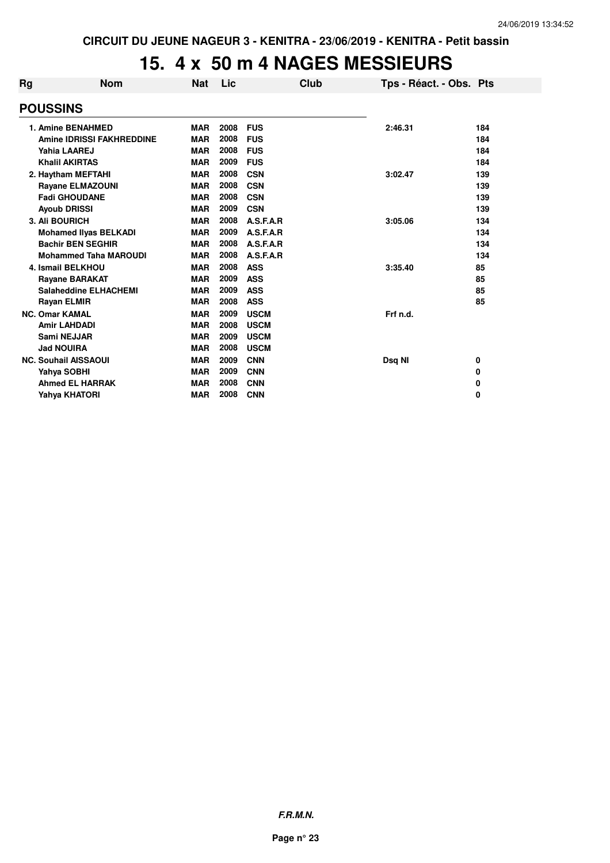# **15. 4 x 50 m 4 NAGES MESSIEURS**

| Rg | <b>Nom</b>                       | <b>Nat</b> | Lic  |             | Club | Tps - Réact. - Obs. Pts |     |
|----|----------------------------------|------------|------|-------------|------|-------------------------|-----|
|    | <b>POUSSINS</b>                  |            |      |             |      |                         |     |
|    | 1. Amine BENAHMED                | <b>MAR</b> | 2008 | <b>FUS</b>  |      | 2:46.31                 | 184 |
|    | <b>Amine IDRISSI FAKHREDDINE</b> | <b>MAR</b> | 2008 | <b>FUS</b>  |      |                         | 184 |
|    | Yahia LAAREJ                     | <b>MAR</b> | 2008 | <b>FUS</b>  |      |                         | 184 |
|    | <b>Khalil AKIRTAS</b>            | <b>MAR</b> | 2009 | <b>FUS</b>  |      |                         | 184 |
|    | 2. Haytham MEFTAHI               | <b>MAR</b> | 2008 | <b>CSN</b>  |      | 3:02.47                 | 139 |
|    | <b>Rayane ELMAZOUNI</b>          | <b>MAR</b> | 2008 | <b>CSN</b>  |      |                         | 139 |
|    | <b>Fadi GHOUDANE</b>             | <b>MAR</b> | 2008 | <b>CSN</b>  |      |                         | 139 |
|    | <b>Ayoub DRISSI</b>              | <b>MAR</b> | 2009 | <b>CSN</b>  |      |                         | 139 |
|    | 3. Ali BOURICH                   | <b>MAR</b> | 2008 | A.S.F.A.R   |      | 3:05.06                 | 134 |
|    | <b>Mohamed Ilyas BELKADI</b>     | <b>MAR</b> | 2009 | A.S.F.A.R   |      |                         | 134 |
|    | <b>Bachir BEN SEGHIR</b>         | <b>MAR</b> | 2008 | A.S.F.A.R   |      |                         | 134 |
|    | <b>Mohammed Taha MAROUDI</b>     | <b>MAR</b> | 2008 | A.S.F.A.R   |      |                         | 134 |
|    | <b>4. Ismail BELKHOU</b>         | <b>MAR</b> | 2008 | <b>ASS</b>  |      | 3:35.40                 | 85  |
|    | <b>Rayane BARAKAT</b>            | <b>MAR</b> | 2009 | <b>ASS</b>  |      |                         | 85  |
|    | <b>Salaheddine ELHACHEMI</b>     | <b>MAR</b> | 2009 | <b>ASS</b>  |      |                         | 85  |
|    | Rayan ELMIR                      | <b>MAR</b> | 2008 | <b>ASS</b>  |      |                         | 85  |
|    | <b>NC. Omar KAMAL</b>            | <b>MAR</b> | 2009 | <b>USCM</b> |      | Frf n.d.                |     |
|    | <b>Amir LAHDADI</b>              | <b>MAR</b> | 2008 | <b>USCM</b> |      |                         |     |
|    | <b>Sami NEJJAR</b>               | <b>MAR</b> | 2009 | <b>USCM</b> |      |                         |     |
|    | <b>Jad NOUIRA</b>                | <b>MAR</b> | 2008 | <b>USCM</b> |      |                         |     |
|    | <b>NC. Souhail AISSAOUI</b>      | <b>MAR</b> | 2009 | <b>CNN</b>  |      | Dsq NI                  | 0   |
|    | Yahya SOBHI                      | <b>MAR</b> | 2009 | <b>CNN</b>  |      |                         | 0   |
|    | <b>Ahmed EL HARRAK</b>           | <b>MAR</b> | 2008 | <b>CNN</b>  |      |                         | 0   |
|    | Yahya KHATORI                    | <b>MAR</b> | 2008 | <b>CNN</b>  |      |                         | 0   |